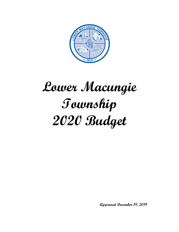

# **Lower Macungie Township 2020 Budget**

**Approved December 19, 2019**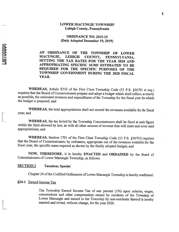#### **LOWER MACUNGIE TOWNSHIP** Lehigh County, Pennsylvania

**ORDINANCE NO. 2019-15** (Duly Adopted December 19, 2019)

AN ORDINANCE OF THE TOWNSHIP OF LOWER **MACUNGIE, LEHIGH** COUNTY, PENNSYLVANIA, SETTING THE TAX RATES FOR THE YEAR 2020 AND APPROPRIATING SPECIFIC SUMS ESTIMATED TO BE REQUIRED FOR THE SPECIFIC PURPOSES OF THE TOWNSHIP GOVERNMENT DURING THE 2020 FISCAL YEAR.

WHEREAS, Article XVII of the First Class Township Code (53 P.S. §56701 et seq.) requires that the Board of Commissioners prepare and adopt a budget which shall reflect, as nearly as possible, the estimated revenues and expenditures of the Township for the fiscal year for which the budget is prepared; and

WHEREAS, the total appropriations shall not exceed the revenues available for the fiscal year; and

WHEREAS, the tax levied by the Township Commissioners shall be fixed at such figure within the limit allowed by law, as with all other sources of revenue that will meet and cover said appropriations; and

WHEREAS, Section 1701 of the First Class Township Code (53 P.S. §56701) requires that the Board of Commissioners, by ordinance, appropriate out of the revenues available for the fiscal year, the specific sums required as shown by the finally adopted budget; and

NOW, THEREFORE, it is hereby ENACTED and ORDAINED by the Board of Commissioners of Lower Macungie Township, as follows:

#### **SECTION I Taxation**; Special

Chapter 24 of the Codified Ordinances of Lower Macungie Township is hereby confirmed:

#### §24-1 Earned Income Tax

**HWITOOOOOC** 

The Township Earned Income Tax of one percent (1%) upon salaries, wages, commissions and other compensation earned by residents of the Township of Lower Macungie and earned in the Township by non-residents thereof is hereby enacted and levied, without change, for the year 2020.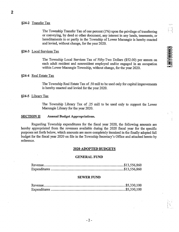#### §24-2 Transfer Tax

The Township Transfer Tax of one percent (1%) upon the privilege of transferring or conveying, by deed or other document, any interest in any lands, tenements, or hereditaments in or partly in the Township of Lower Macungie is hereby enacted and levied, without change, for the year 2020.

#### §24-3 Local Services Tax

The Township Local Services Tax of Fifty-Two Dollars (\$52.00) per annum on each adult resident and nonresident employed and/or engaged in an occupation within Lower Macungie Township, without change, for the year 2020.

#### §24-4 Real Estate Tax

The Township Real Estate Tax of .50 mill to be used only for capital improvements is hereby enacted and levied for the year 2020.

#### §24-5 Library Tax

The Township Library Tax of .25 mill to be used only to support the Lower Macungie Library for the year 2020.

#### **SECTION II Annual Budget Appropriations.**

Regarding Township expenditures for the fiscal year 2020, the following amounts are hereby appropriated from the revenues available during the 2020 fiscal year for the specific purposes set forth below, which amounts are more completely itemized in the finally adopted full budget for the fiscal year 2020 on file in the Township Secretary's Office and attached hereto by reference.

#### **2020 ADOPTED BUDGETS**

#### **GENERAL FUND**

#### **SEWER FUND**

ini k

 $\ddot{\phantom{0}}$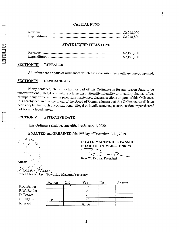#### **CAPITAL FUND**

#### **STATE LIQUID FUELS FUND**

#### **SECTION III REPEALER**

All ordinances or parts of ordinances which are inconsistent herewith are hereby repealed.

#### **SEVERABILITY SECTION IV**

If any sentence, clause, section, or part of this Ordinance is for any reason found to be unconstitutional, illegal or invalid, such unconstitutionality, illegality or invalidity shall not affect or impair any of the remaining provisions, sentences, clauses, sections or parts of this Ordinance. It is hereby declared as the intent of the Board of Commissioners that this Ordinance would have been adopted had such unconstitutional, illegal or invalid sentence, clause, section or part thereof not been included herein.

#### **SECTION V EFFECTIVE DATE**

This Ordinance shall become effective January 1, 2020.

**ENACTED** and **ORDAINED** this 19<sup>th</sup> day of December, A.D., 2019.

Attest:

### **LOWER MACUNGIE TOWNSHIP BOARD OF COMMISSIONERS**

Ron W. Beitler, President

Renea Flexer, Asst. Township Manager/Secretary

|                   | Motion | 2nd | Yes    | No | Abstain |
|-------------------|--------|-----|--------|----|---------|
| R.R. Beitler      |        |     |        |    |         |
| R.W. Beitler      |        |     |        |    |         |
| D. Brown          |        |     |        |    |         |
| <b>B.</b> Higgins |        |     |        |    |         |
| R. Ward           |        |     | Absent |    |         |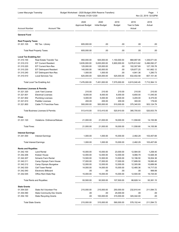| Budget Worksheet - 2020 Budget (With Reserve Transfers)<br>Lower Macungie Township<br>Periods: 01/20-12/20 |                                      |                                |                               |                       |                                | Page:<br>Nov 22, 2019 02:02PM |
|------------------------------------------------------------------------------------------------------------|--------------------------------------|--------------------------------|-------------------------------|-----------------------|--------------------------------|-------------------------------|
| <b>Account Number</b>                                                                                      | <b>Account Title</b>                 | 2020<br><b>Approved Budget</b> | 2020<br><b>Initial Budget</b> | 2019<br><b>Budget</b> | 2019<br>Year to Date<br>Actual | 2018<br>Actual                |
| <b>General Fund</b>                                                                                        |                                      |                                |                               |                       |                                |                               |
| <b>Real Property Taxes</b>                                                                                 |                                      |                                |                               |                       |                                |                               |
| 01.301.105                                                                                                 | RE Tax - Library                     | 605,000.00                     | .00                           | .00                   | .00                            | .00.                          |
|                                                                                                            | <b>Total Real Property Taxes:</b>    | 605,000.00                     | .00                           | .00                   | .00.                           | .00                           |
| <b>Local Tax Enabling Act</b>                                                                              |                                      |                                |                               |                       |                                |                               |
| 01.310.100                                                                                                 | Real Estate Transfer Tax             | 950,000.00                     | 925,000.00                    | 1,150,000.00          | 868,997.95                     | 1,339,071.83                  |
| 01.310.210                                                                                                 | <b>EIT Current Resident</b>          | 5,635,000.00                   | 5,635,000.00                  | 5,900,000.00          | 5,076,613.62                   | 5,496,092.27                  |
| 01.310.220                                                                                                 | <b>EIT Current Non-Res</b>           | 125,000.00                     | 125,000.00                    | .00                   | 102,307.69                     | 127, 155.78                   |
| 01.310.230                                                                                                 | <b>EIT Delinquent Resident</b>       | 140,000.00                     | 140,000.00                    | .00                   | 129,877.25                     | 141,662.12                    |
| 01.310.240                                                                                                 | <b>EIT Delinquent Non-Res</b>        | 1,000.00                       | 1,000.00                      | .00                   | 4,841.36                       | 1,280.73                      |
| 01.310.510                                                                                                 | <b>Local Services Tax</b>            | 625,000.00                     | 625,000.00                    | 525,000.00            | 632,402.58                     | 607,101.40                    |
|                                                                                                            | Total Local Tax Enabling Act:        | 7,476,000.00                   | 7,451,000.00                  | 7,575,000.00          | 6,815,040.45                   | 7,712,364.13                  |
| <b>Business Licenses &amp; Permits</b>                                                                     |                                      |                                |                               |                       |                                |                               |
| 01.321.320                                                                                                 | <b>Junk Yard License</b>             | 210.00                         | 210.00                        | 210.00                | 210.00                         | 210.00                        |
| 01.321.601                                                                                                 | <b>Electrical Licenses</b>           | 8,000.00                       | 8,000.00                      | 6,000.00              | 6,650.00                       | 11,045.00                     |
| 01.321.602                                                                                                 | <b>Plumbing Licenses</b>             | 5,000.00                       | 5,000.00                      | 4,500.00              | 3,205.00                       | 6,375.00                      |
| 01.321.610                                                                                                 | <b>Peddler Licenses</b>              | 200.00                         | 200.00                        | 200.00                | 300.00                         | 179.00                        |
| 01.321.800                                                                                                 | Cable TV Franchise Fees              | 500,000.00                     | 500,000.00                    | 510,000.00            | 375,340.93                     | 503,124.79                    |
|                                                                                                            | Total Business Licenses & Permits:   | 513,410.00                     | 513,410.00                    | 520,910.00            | 385,705.93                     | 520,933.79                    |
| <b>Fines</b>                                                                                               |                                      |                                |                               |                       |                                |                               |
| 01.331.120                                                                                                 | <b>Violations- Ordinance/Statues</b> | 21,000.00                      | 21,000.00                     | 18,000.00             | 11,558.80                      | 14,155.99                     |
| <b>Total Fines:</b>                                                                                        |                                      | 21,000.00                      | 21,000.00                     | 18,000.00             | 11,558.80                      | 14,155.99                     |
| <b>Interest Earnings</b>                                                                                   |                                      |                                |                               |                       |                                |                               |
| 01.341.000                                                                                                 | <b>Interest Earnings</b>             | 1,000.00                       | 1,000.00                      | 15,000.00             | 2,482.29                       | 103,407.69                    |
|                                                                                                            | <b>Total Interest Earnings:</b>      | 1,000.00                       | 1,000.00                      | 15,000.00             | 2,482.29                       | 103,407.69                    |
| <b>Rents and Royalties</b>                                                                                 |                                      |                                |                               |                       |                                |                               |
| 01.342.100                                                                                                 | <b>Land Rental</b>                   | 10,000.00                      | 10,000.00                     | 23,000.00             | 12,584.00                      | 1,258.40                      |
| 01.342.206                                                                                                 | <b>Kratzer House</b>                 | 12,000.00                      | 12,000.00                     | 12,000.00             | 9,066.79                       | 13,926.39                     |
| 01.342.207                                                                                                 | Schantz Farm Rental                  | 13,500.00                      | 13,500.00                     | 13,500.00             | 12,196.50                      | 16,004.38                     |
| 01.342.211                                                                                                 | Camp Olympic Farm House              | 17,000.00                      | 17,000.00                     | 17,000.00             | 17,689.50                      | 19,060.40                     |
| 01.342.212                                                                                                 | Camp Olympic Bungalow                | 12,000.00                      | 12,000.00                     | 12,000.00             | 12,305.99                      | 10,689.56                     |
| 01.342.530                                                                                                 | <b>Cell Tower Rental</b>             | 14,000.00                      | 14,000.00                     | 15,000.00             | 12,485.36                      | 14,717.03                     |
| 01.342.540                                                                                                 | <b>Electronic Billboard</b>          | .00                            | .00                           | .00                   | .00                            | 999.99                        |
| 01.342.545                                                                                                 | Office Rent State Rep                | 15,000.00                      | 15,000.00                     | 15,000.00             | 12,500.00                      | 16,725.00                     |
|                                                                                                            | <b>Total Rents and Royalties:</b>    | 93,500.00                      | 93,500.00                     | 107,500.00            | 88,828.14                      | 93,381.15                     |
| <b>State Grants</b>                                                                                        |                                      |                                |                               |                       |                                |                               |
| 01.354.020                                                                                                 | <b>State Aid Volunteer Fire</b>      | 215,000.00                     | 215,000.00                    | 250,000.00            | 232,810.44                     | 211,594.72                    |
| 01.354.090                                                                                                 | <b>State Community Dev Grants</b>    | .00                            | .00                           | 25,000.00             | .00                            | .00                           |
| 01.354.150                                                                                                 | <b>State Recycling Grants</b>        | .00                            | 100,000.00                    | 315,000.00            | 345,342.00                     | .00                           |
| <b>Total State Grants:</b>                                                                                 |                                      | 215,000.00                     | 315,000.00                    | 590,000.00            | 578,152.44                     | 211,594.72                    |
|                                                                                                            |                                      |                                |                               |                       |                                |                               |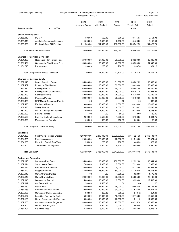| Lower Macungie Township<br>Budget Worksheet - 2020 Budget (With Reserve Transfers)<br>Periods: 01/20-12/20 |                                                                     |                                |                               |                    | Page:<br>$\overline{2}$<br>Nov 22, 2019 02:02PM |                    |
|------------------------------------------------------------------------------------------------------------|---------------------------------------------------------------------|--------------------------------|-------------------------------|--------------------|-------------------------------------------------|--------------------|
| <b>Account Number</b>                                                                                      | <b>Account Title</b>                                                | 2020<br><b>Approved Budget</b> | 2020<br><b>Initial Budget</b> | 2019<br>Budget     | 2019<br>Year to Date<br>Actual                  | 2018<br>Actual     |
| <b>State Shared Revenue</b>                                                                                |                                                                     |                                |                               |                    |                                                 |                    |
| 01.355.010                                                                                                 | <b>PURTA</b>                                                        | 500.00                         | 500.00                        | 600.00             | 8,475.63                                        | 9,161.98           |
| 01.355.040                                                                                                 | Alcoholic Beverages Licenses                                        | 4,500.00                       | 4,500.00                      | 3,480.00           | 5,450.00                                        | 5,150.00           |
| 01.355.050                                                                                                 | Municipal State Aid Pension                                         | 211,500.00                     | 211,500.00                    | 190,000.00         | 235,542.95                                      | 201,428.70         |
|                                                                                                            | <b>Total State Shared Revenue:</b>                                  | 216,500.00                     | 216,500.00                    | 194,080.00         | 249,468.58                                      | 215,740.68         |
| <b>Charges for Services Developer</b>                                                                      |                                                                     |                                |                               |                    |                                                 |                    |
| 01.361.400                                                                                                 | <b>Residential Plan Review Fees</b>                                 | 27,000.00                      | 27,000.00                     | 23,500.00          | 28,320.00                                       | 22,605.00          |
| 01.361.401                                                                                                 | <b>Commercial Plan Review Fees</b>                                  | 50,000.00                      | 50,000.00                     | 48,000.00          | 58,530.00                                       | 54,345.00          |
| 01.361.710                                                                                                 | Photocopies                                                         | 200.00                         | 200.00                        | 200.00             | 358.76                                          | 364.12             |
|                                                                                                            | Total Charges for Services Developer:                               | 77,200.00                      | 77,200.00                     | 71,700.00          | 87,208.76                                       | 77,314.12          |
| <b>Charges for Services Safety</b>                                                                         |                                                                     |                                |                               |                    |                                                 |                    |
| 01.362.140                                                                                                 | <b>School Crossing Guards</b>                                       | 35,000.00                      | 35,000.00                     | 31,000.00          | 34,202.82                                       | 33,698.01          |
| 01.362.402                                                                                                 | Fire Code Plan Review                                               | 30,000.00                      | 30,000.00                     | 35,000.00          | 18,490.00                                       | 58,085.00          |
| 01.362.410                                                                                                 | <b>Building Permits</b>                                             | 65,000.00                      | 65,000.00                     | 65,000.00          | 56,844.50                                       | 68,240.00          |
| 01.362.411                                                                                                 | <b>Building Permits/Commercial</b>                                  | 95,000.00                      | 95,000.00                     | 95,000.00          | 160,301.20                                      | 99,023.08          |
| 01.362.420                                                                                                 | <b>Electrical Permits</b>                                           | 50,000.00                      | 50,000.00                     | 75,000.00          | 63,780.00                                       | 79,639.50          |
| 01.362.430                                                                                                 | <b>Plumbing Permits</b>                                             | 20,000.00                      | 20,000.00                     | 26,000.00          | 18,430.00                                       | 28,140.00          |
| 01.362.450                                                                                                 | ROP Use & Occupancy Permits                                         | .00                            | .00                           | .00                | .00                                             | 600.00-            |
| 01.362.470                                                                                                 | <b>Mechanical Permits</b>                                           | 13,000.00                      | 13,000.00                     | 12,000.00          | 14,420.00                                       | 18,460.00          |
| 01.362.480                                                                                                 | <b>Zoning Permits</b>                                               | 9,000.00                       | 9,000.00                      | 14,000.00          | 15,310.47                                       | 15,435.88          |
| 01.362.490                                                                                                 | On Lot Grading/Pool Reviews                                         | 7,000.00                       | 7,000.00                      | 6,000.00           | 9,170.00                                        | 6,685.00           |
| 01.362.500                                                                                                 | <b>Burning Permits</b>                                              | .00                            | .00                           | 50.00              | 30.00                                           | 30.00              |
| 01.362.580<br>01.362.600                                                                                   | <b>Sprinkler System Inspections</b><br><b>Miscellaneous Permits</b> | 2,500.00<br>500.00             | 2,500.00<br>500.00            | 1,200.00<br>250.00 | 3,138.65<br>300.00                              | 1,341.75<br>150.00 |
|                                                                                                            | Total Charges for Services Safety:                                  | 327,000.00                     | 327,000.00                    | 360,500.00         | 394,417.64                                      | 408,328.22         |
| <b>Sanitation</b>                                                                                          |                                                                     |                                |                               |                    |                                                 |                    |
| 01.364.300                                                                                                 | Solid Waste Regular Charges                                         | 3,299,800.00                   | 3,299,800.00                  | 2,620,000.00       | 2,444,924.35                                    | 2,640,483.39       |
| 01.364.305                                                                                                 | <b>Penalties Assessed</b>                                           | 20,000.00                      | 20,000.00                     | 22,000.00          | 21,310.60                                       | 25,021.44          |
| 01.364.350                                                                                                 | Recycling Carts & Bag Tags                                          | 250.00                         | 250.00                        | 1,200.00           | 463.50                                          | 939.00             |
| 01.364.900                                                                                                 | Yard Waste Loading Fees                                             | 3,000.00                       | 3,000.00                      | 4,100.00           | 3,450.00                                        | 4,090.00           |
| <b>Total Sanitation:</b>                                                                                   |                                                                     | 3,323,050.00                   | 3,323,050.00                  | 2,647,300.00       | 2,470,148.45                                    | 2,670,533.83       |
| <b>Culture and Recreation</b>                                                                              |                                                                     |                                |                               |                    |                                                 |                    |
| 01.367.110                                                                                                 | Swimming Pool Fees                                                  | 95,000.00                      | 95,000.00                     | 100,000.00         | 92,992.00                                       | 95,644.00          |
| 01.367.111                                                                                                 | Swim Lesson Fees                                                    | 7,000.00                       | 7,000.00                      | 7,000.00           | 7,329.00                                        | 5,850.00           |
| 01.367.112                                                                                                 | Pool Snack Bar Income                                               | 20,000.00                      | 20,000.00                     | 20,000.00          | 25,238.50                                       | 22,098.05          |
| 01.367.120                                                                                                 | <b>Playground Fees</b>                                              | 45,000.00                      | 45,000.00                     | 50,000.00          | 41,760.00                                       | 45,875.00          |
| 01.367.140                                                                                                 | Camp Olympic Pavilion                                               | .00                            | .00                           | 4,500.00           | 620.00                                          | 4,475.00           |
| 01.367.142                                                                                                 | Camp Olympic Barn                                                   | 20,000.00                      | 20,000.00                     | 20,000.00          | 25,695.00                                       | 23,105.00          |
| 01.367.145                                                                                                 | Wescosville Rec Hall                                                | 15,000.00                      | 15,000.00                     | 15,000.00          | 19,950.00                                       | 19,530.00          |
| 01.367.149                                                                                                 | Conference Room                                                     | 1,500.00                       | 1,500.00                      | .00                | .00                                             | .00                |
| 01.367.150                                                                                                 | <b>Gym Rental</b>                                                   | 35,000.00                      | 35,000.00                     | 35,000.00          | 30,995.00                                       | 26,484.00          |
| 01.367.153                                                                                                 | <b>Community Center Rooms</b>                                       | 30,000.00                      | 30,000.00                     | 30,000.00          | 27,576.00                                       | 31,217.50          |
| 01.367.156                                                                                                 | <b>Community Center Snack Bar</b>                                   | 600.00                         | 600.00                        | 700.00             | 579.42                                          | 654.91             |
| 01.367.157                                                                                                 | Lockridge Community Center                                          | 15,000.00                      | 15,000.00                     | 15,000.00          | 19,175.00                                       | 13,355.00          |
| 01.367.160                                                                                                 | Library Reimburseable Expenses                                      | 16,000.00                      | 16,000.00                     | 20,000.00          | 11,811.13                                       | 14,686.56          |
| 01.367.200                                                                                                 | <b>Community Center Programs</b>                                    | 80,000.00                      | 80,000.00                     | 75,000.00          | 86,235.38                                       | 86,955.03          |
| 01.367.300                                                                                                 | Garden Plot Program                                                 | 1,500.00                       | 1,500.00                      | 2,600.00           | 1,860.00                                        | 2,530.00           |
| 01.367.301                                                                                                 | <b>Field Use Fees</b>                                               | 3,300.00                       | 3,300.00                      | 3,300.00           | 3,885.00                                        | 3,043.43           |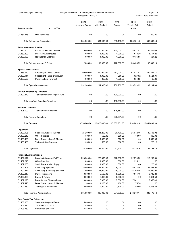| Budget Worksheet - 2020 Budget (With Reserve Transfers)<br>Lower Macungie Township<br>Nov 22, 2019 02:02PM<br>Periods: 01/20-12/20 |                                             |                                |                               |                |                                | Page:<br>- 3   |
|------------------------------------------------------------------------------------------------------------------------------------|---------------------------------------------|--------------------------------|-------------------------------|----------------|--------------------------------|----------------|
| <b>Account Number</b>                                                                                                              | <b>Account Title</b>                        | 2020<br><b>Approved Budget</b> | 2020<br><b>Initial Budget</b> | 2019<br>Budget | 2019<br>Year to Date<br>Actual | 2018<br>Actual |
| 01.367.315                                                                                                                         | Dog Park Fees                               | .00                            | .00                           | .00            | .00                            | 300.00         |
|                                                                                                                                    | <b>Total Culture and Recreation:</b>        | 384,900.00                     | 384,900.00                    | 398,100.00     | 395,701.43                     | 395,803.48     |
| <b>Reimbursements &amp; Other</b>                                                                                                  |                                             |                                |                               |                |                                |                |
| 01.380.100                                                                                                                         | Insurance Reimbursements                    | 10,000.00                      | 10,000.00                     | 120,000.00     | 128,671.57                     | 135,846.66     |
| 01.380.300                                                                                                                         | Misc Rev & Reimburse                        | 1,000.00                       | 1,000.00                      | 1,000.00       | 648.20                         | 1,117.25       |
| 01.380.900                                                                                                                         | <b>Refunds for Expenses</b>                 | 1,000.00                       | 1,000.00                      | 1,000.00       | 9,136.55                       | 684.22         |
|                                                                                                                                    | Total Reimbursements & Other:               | 12,000.00                      | 12,000.00                     | 122,000.00     | 138,456.32                     | 137,648.13     |
| <b>Special Assessments</b>                                                                                                         |                                             |                                |                               |                |                                |                |
| 01.383.110                                                                                                                         | Street Light Taxes - Current                | 290,000.00                     | 290,000.00                    | 287,000.00     | 291,917.91                     | 290,567.11     |
| 01.383.111                                                                                                                         | Street Light Taxes- Delinquent              | 1,000.00                       | 1,000.00                      | 250.00         | 827.52                         | 1,521.01       |
| 01.383.500                                                                                                                         | Penalties Late Payment                      | 300.00                         | 300.00                        | 1,000.00       | 1,054.52                       | 195.88         |
|                                                                                                                                    | <b>Total Special Assessments:</b>           | 291,300.00                     | 291,300.00                    | 288,250.00     | 293,799.95                     | 292,284.00     |
| <b>Interfund Operating Transfers</b>                                                                                               |                                             |                                |                               |                |                                |                |
| 01.392.370                                                                                                                         | Transfer from Dev. Impact Fund              | .00                            | .00                           | 400,000.00     | .00                            | .00            |
|                                                                                                                                    | <b>Total Interfund Operating Transfers:</b> | .00                            | .00                           | 400,000.00     | .00                            | .00.           |
| <b>Reserve Transfers</b>                                                                                                           |                                             |                                |                               |                |                                |                |
| 01.396.000                                                                                                                         | <b>Transfer from Reserves</b>               | .00                            | .00                           | 528,361.00     | .00                            | .00            |
|                                                                                                                                    | <b>Total Reserve Transfers:</b>             |                                |                               |                |                                |                |
|                                                                                                                                    |                                             | .00                            | .00                           | 528,361.00     | .00                            | .00            |
| Total Revenue:                                                                                                                     |                                             | 13,556,860.00                  | 13,026,860.00                 | 13,836,701.00  | 11,910,969.18                  | 12,853,489.93  |
| Legislative                                                                                                                        |                                             |                                |                               |                |                                |                |
| 01.400.105                                                                                                                         | Salaries & Wages - Elected                  | 21,200.00                      | 31,200.00                     | 30,700.00      | 26,672.16                      | 30,793.92      |
| 01.400.210                                                                                                                         | <b>Office Supplies</b>                      | 500.00                         | 500.00                        | 500.00         | 38.00                          | 409.08         |
| 01.400.420                                                                                                                         | Dues, Subscriptions & Member                | 1,000.00                       | 1,000.00                      | 500.00         | .00.                           | 1,000.00       |
| 01.400.460                                                                                                                         | Training & Conferences                      | 500.00                         | 500.00                        | 500.00         | .00                            | 228.13         |
| Total Legislative:                                                                                                                 |                                             | 23,200.00                      | 33,200.00                     | 32,200.00      | 26,710.16                      | 32,431.13      |
| <b>Financial Administration</b>                                                                                                    |                                             |                                |                               |                |                                |                |
| 01.402.112                                                                                                                         | Salaries & Wages - Full Time                | 228,500.00                     | 229,800.00                    | 222,200.00     | 192,070.05                     | 213,283.54     |
| 01.402.210                                                                                                                         | Office Supplies                             | 1,000.00                       | 1,000.00                      | 1,000.00       | 225.12                         | .00.           |
| 01.402.260                                                                                                                         | Small Tools & Minor Equip                   | 1,000.00                       | 1,000.00                      | 1,000.00       | .00                            | 205.99         |
| 01.402.307                                                                                                                         | <b>Accounting Systems</b>                   | 28,000.00                      | 28,000.00                     | 26,000.00      | 25,833.00                      | 25,833.00      |
| 01.402.311                                                                                                                         | <b>Accounting &amp; Auditing Services</b>   | 17,000.00                      | 17,000.00                     | 16,000.00      | 15,750.00                      | 14,250.00      |
| 01.402.317                                                                                                                         | <b>Payroll Processing</b>                   | 9,500.00                       | 9,500.00                      | 8,500.00       | 7,014.19                       | 8,732.24       |
| 01.402.353                                                                                                                         | Surety & Fidelity                           | 9,000.00                       | 9,000.00                      | 9,000.00       | .00                            | 8,811.58       |
| 01.402.390                                                                                                                         | <b>Bank Service Charges/Fees</b>            | 8,000.00                       | 8,000.00                      | 7,000.00       | 7,501.11                       | 7,053.49       |
| 01.402.420                                                                                                                         | Dues, Subscriptions & Member                | 1,100.00                       | 1,100.00                      | 1,100.00       | 375.70                         | .00            |
| 01.402.460                                                                                                                         | Training & Conferences                      | 2,500.00                       | 2,500.00                      | 2,500.00       | 150.00                         | 2,306.62       |
|                                                                                                                                    | <b>Total Financial Administration:</b>      | 305,600.00                     | 306,900.00                    | 294,300.00     | 248,919.17                     | 280,476.46     |
| <b>Real Estate Tax Collection</b>                                                                                                  |                                             |                                |                               |                |                                |                |
| 01.403.105                                                                                                                         | Salaries & Wages - Elected                  | 5,000.00                       | .00                           | .00            | .00                            | .00.           |
| 01.403.210                                                                                                                         | <b>Tax Collection Office</b>                | 7,550.00                       | .00                           | .00            | .00                            | .00.           |
| 01.403.450                                                                                                                         | <b>Contracted Services</b>                  | 8,450.00                       | .00                           | .00            | .00                            | .00.           |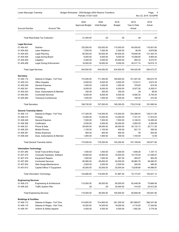| Lower Macungie Township<br>Budget Worksheet - 2020 Budget (With Reserve Transfers)<br>Periods: 01/20-12/20 |                                    |                                |                               |                        | Page:<br>- 4<br>Nov 22, 2019 02:02PM |                       |
|------------------------------------------------------------------------------------------------------------|------------------------------------|--------------------------------|-------------------------------|------------------------|--------------------------------------|-----------------------|
| <b>Account Number</b>                                                                                      | <b>Account Title</b>               | 2020<br><b>Approved Budget</b> | 2020<br><b>Initial Budget</b> | 2019<br>Budget         | 2019<br>Year to Date<br>Actual       | 2018<br>Actual        |
|                                                                                                            | Total Real Estate Tax Collection:  | 21,000.00                      | .00                           | .00                    | .00                                  | .00.                  |
| <b>Legal Services</b>                                                                                      |                                    |                                |                               |                        |                                      |                       |
| 01.404.401                                                                                                 | Solicitor                          | 125,000.00                     | 125,000.00                    | 110,000.00             | 84,050.62                            | 116,501.65            |
| 01.404.402                                                                                                 | <b>Labor Relations</b>             | 7,500.00                       | 7,500.00                      | 2,500.00               | 90.00-                               | 8,879.86              |
| 01.404.403                                                                                                 | Legal Planning                     | 80,000.00                      | 80,000.00                     | 80,000.00              | 78,646.38                            | 131,303.70            |
| 01.404.404                                                                                                 | Legal Zoning Board                 | 9,000.00                       | 9,000.00                      | 8,000.00               | 10,406.60                            | 9,900.00              |
| 01.404.405                                                                                                 | Litigation                         | 5,000.00                       | 5,000.00                      | 25,000.00              | 994.22                               | 9,272.91              |
| 01.404.406                                                                                                 | Legal Zoning Enforcement           | 18,000.00                      | 18,000.00                     | 9,000.00               | 20,417.74                            | 18,615.15             |
| <b>Total Legal Services:</b>                                                                               |                                    | 244,500.00                     | 244,500.00                    | 234,500.00             | 194,425.56                           | 294,473.27            |
| <b>Secretary</b>                                                                                           |                                    |                                |                               |                        |                                      |                       |
| 01.405.112                                                                                                 | Salaries & Wages - Full Time       | 170,500.00                     | 171,300.00                    | 165,600.00             | 151,307.29                           | 160,674.78            |
| 01.405.210                                                                                                 | <b>Office Supplies</b>             | 8,000.00                       | 8,000.00                      | 8,000.00               | 7,218.31                             | 4,674.30              |
| 01.405.249                                                                                                 | <b>General Expense</b>             | 1,000.00                       | 1,000.00                      | 1,000.00               | 376.85                               | 674.05                |
| 01.405.341                                                                                                 | Advertising                        | 8,000.00                       | 8,000.00                      | 8,000.00               | 8,527.26                             | 6,355.51              |
| 01.405.420                                                                                                 | Dues, Subscriptions & Member       | 250.00                         | 250.00                        | 250.00                 | .00                                  | 99.00                 |
| 01.405.450                                                                                                 | <b>Contracted Services</b>         | 8,000.00                       | 8,000.00                      | 6,500.00               | 8,590.35                             | 8,740.40              |
| 01.405.460                                                                                                 | Training & Conferences             | 1,000.00                       | 1,000.00                      | 1,000.00               | 190.00                               | 472.50                |
| <b>Total Secretary:</b>                                                                                    |                                    | 196,750.00                     | 197,550.00                    | 190,350.00             | 176,210.06                           | 181,690.54            |
| <b>General Township Admin</b>                                                                              |                                    |                                |                               |                        |                                      |                       |
| 01.406.112                                                                                                 | Salaries & Wages - Full Time       | 117,300.00                     | 118,500.00                    | 115,000.00             | 104,288.04                           | 129,411.80            |
| 01.406.215                                                                                                 | Postage                            | 13,500.00                      | 13,500.00                     | 13,500.00              | 7,741.47                             | 11,814.03             |
| 01.406.249                                                                                                 | General Expense                    | 7,000.00                       | 7,000.00                      | 7,000.00               | 5,146.53                             | 14,495.04             |
| 01.406.308<br>01.406.321                                                                                   | Codification<br>Phone & Data       | 5,000.00<br>28,500.00          | 5,000.00<br>28,500.00         | 30,000.00<br>26,000.00 | 3,855.00<br>24,133.13                | 6,383.99<br>20,711.29 |
| 01.406.324                                                                                                 | <b>Mobile Phones</b>               | 1,100.00                       | 1,100.00                      | 400.00                 | 831.73                               | 390.00                |
| 01.406.391                                                                                                 | <b>Notary Expenses</b>             | 800.00                         | 800.00                        | 800.00                 | .00                                  | 652.85                |
| 01.406.420                                                                                                 | Dues, Subscriptions & Member       | 1,800.00                       | 1,800.00                      | 500.00                 | 1,164.00                             | 12.95                 |
|                                                                                                            | Total General Township Admin:      | 175,000.00                     | 176,200.00                    | 193,200.00             | 147,159.90                           | 183,871.95            |
|                                                                                                            |                                    |                                |                               |                        |                                      |                       |
| <b>Information Technology</b><br>01.407.260                                                                | Small Tools & Minor Equip          | 1,000.00                       | 1,000.00                      | 1,000.00               | 1,006.28                             | 1,187.13              |
| 01.407.270                                                                                                 | Computer Hardware, Software        | 19,900.00                      | 19,900.00                     | 18,000.00              | 15,779.05                            | 21,090.87             |
| 01.407.374                                                                                                 | <b>Equipment Repairs</b>           | 1,000.00                       | 1,000.00                      | 887.00                 | 483.97                               | 963.28                |
| 01.407.450                                                                                                 | <b>Contracted Services</b>         | 80,990.00                      | 65,600.00                     | 45,000.00              | 38,965.78                            | 36,480.87             |
| 01.407.453                                                                                                 | Web Design/Maintenance             | 2,000.00                       | 2,000.00                      | 2,000.00               | 300.00                               | 480.00                |
| 01.407.613                                                                                                 | Capital-Office/ IT Equipment       | 30,000.00                      | 30,000.00                     | 25,000.00              | 13,638.89                            | 44,998.97             |
|                                                                                                            | Total Information Technology:      | 134,890.00                     | 119,500.00                    | 91,887.00              | 70,173.97                            | 105,201.12            |
| <b>Engineering Services</b>                                                                                |                                    |                                |                               |                        |                                      |                       |
| 01.408.313                                                                                                 | Engineering & Architectural        | 110,000.00                     | 90,000.00                     | 80,000.00              | 82,448.09                            | 75,669.59             |
| 01.408.325                                                                                                 | Traffic System Plan                | .00                            | .00                           | 20,000.00              | 410.00                               | 24,912.26             |
|                                                                                                            | <b>Total Engineering Services:</b> | 110,000.00                     | 90,000.00                     | 100,000.00             | 82,858.09                            | 100,581.85            |
| <b>Buildings &amp; Facilities</b>                                                                          |                                    |                                |                               |                        |                                      |                       |
| 01.409.112                                                                                                 | Salaries & Wages - Full Time       | 314,800.00                     | 314,800.00                    | 291,300.00             | 267,989.87                           | 266,347.96            |
| 01.409.115                                                                                                 | Salaries & Wages - Part Time       | 19,300.00                      | 19,300.00                     | 19,000.00              | 4,718.50                             | 17,344.60             |
| 01.409.191                                                                                                 | Uniform & Safety Apparel           | 4,500.00                       | 4,500.00                      | 4,500.00               | 1,582.26                             | 3,779.38              |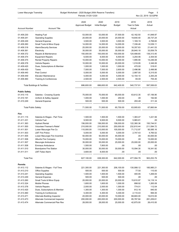| Lower Macungie Township |  |
|-------------------------|--|
|-------------------------|--|

### Budget Worksheet - 2020 Budget (With Reserve Transfers) Page: 5

Periods: 01/20-12/20 Nov 22, 2019 02:02PM

|                             |                                   | 2020<br><b>Approved Budget</b> | 2020<br><b>Initial Budget</b> | 2019       | 2019<br>Year to Date | 2018<br>Actual |
|-----------------------------|-----------------------------------|--------------------------------|-------------------------------|------------|----------------------|----------------|
| <b>Account Number</b>       | <b>Account Title</b>              |                                |                               | Budget     | Actual               |                |
| 01.409.230                  | <b>Heating Fuel</b>               | 53,000.00                      | 53,000.00                     | 37,500.00  | 42,162.50            | 41,848.97      |
| 01.409.241                  | <b>Operating Supplies</b>         | 20,000.00                      | 20,000.00                     | 20,000.00  | 19,640.40            | 26,737.24      |
| 01.409.249                  | General Expense                   | 3,500.00                       | 3,500.00                      | 3,500.00   | 1,169.19             | 2,768.60       |
| 01.409.260                  | Small Tools & Minor Equip         | 14,000.00                      | 14,000.00                     | 14,000.00  | 7,336.46             | 13,539.11      |
| 01.409.318                  | <b>Alarm/Security Services</b>    | 25,000.00                      | 25,000.00                     | 15,000.00  | 18,357.63            | 21,441.53      |
| 01.409.361                  | Electricity                       | 35,000.00                      | 35,000.00                     | 35,000.00  | 28,840.18            | 33,059.79      |
| 01.409.372                  | Repairs & Maintenance             | 150,000.00                     | 150,000.00                    | 150,000.00 | 124,488.65           | 139,313.45     |
| 01.409.374                  | <b>Equipment Repairs</b>          | 6,500.00                       | 6,500.00                      | 6,500.00   | 3,254.46             | 2,354.50       |
| 01.409.375                  | <b>Rental Property Repairs</b>    | 10,000.00                      | 10,000.00                     | 10,000.00  | 1,995.90             | 14,246.08      |
| 01.409.378                  | <b>Vehicle Repairs</b>            | 10,000.00                      | 10,000.00                     | 20,000.00  | 1,018.95             | 3,346.06       |
| 01.409.420                  | Dues, Subscriptions & Member      | 1,000.00                       | 1,000.00                      | 1,000.00   | 470.00               | 518.81         |
| 01.409.430                  | Taxes                             | 7,500.00                       | 7,500.00                      | 2,600.00   | 2,496.86             | 2,496.86       |
| 01.409.440                  | Pest Control                      | 5,000.00                       | 5,000.00                      | 5,000.00   | 2,997.00             | 5,315.00       |
| 01.409.449                  | <b>Elevator Maintenance</b>       | 5,000.00                       | 5,000.00                      | 5,000.00   | 12,154.10            | 2,293.29       |
| 01.409.460                  | <b>Training &amp; Conferences</b> | 2,500.00                       | 2,500.00                      | 2,500.00   | 65.00                | 755.40         |
|                             | Total Buildings & Facilities:     | 686,600.00                     | 686,600.00                    | 642,400.00 | 540,737.91           | 597,506.63     |
| <b>Public Safety</b>        |                                   |                                |                               |            |                      |                |
| 01.410.115                  | Salaries - Crossing Guards        | 70,000.00                      | 70,000.00                     | 65,000.00  | 63,612.35            | 67,156.90      |
| 01.410.191                  | Uniform & Saftey Apparel          | 1,000.00                       | 1,000.00                      | 250.00     | .00.                 | 192.60         |
| 01.410.249                  | General Expense                   | 500.00                         | 500.00                        | 500.00     | 293.48               | 311.34         |
| <b>Total Public Safety:</b> |                                   | 71,500.00                      | 71,500.00                     | 65,750.00  | 63,905.83            | 67,660.84      |
| Fire                        |                                   |                                |                               |            |                      |                |
| 01.411.115                  | Salaries & Wages - Part Time      | 1,500.00                       | 1,500.00                      | 1,500.00   | 1,383.47             | 1,221.56       |
| 01.411.231                  | Vehicle Fuel                      | 9,500.00                       | 9,500.00                      | 9,500.00   | 5,965.81             | .00            |
| 01.411.363                  | <b>Hydrant Rental</b>             | 156,000.00                     | 156,000.00                    | 156,000.00 | 122,380.36           | 150,744.91     |
| 01.411.500                  | <b>Volunteer Fireman's Relief</b> | 210,000.00                     | 210,000.00                    | 250,000.00 | 232,810.44           | 211,594.72     |
| 01.411.501                  | Lower Macungie Fire Co            | 110,000.00                     | 110,000.00                    | 105,000.00 | 71,712.97            | 95,585.16      |
| 01.411.503                  | <b>LMT Fire Police</b>            | 5,000.00                       | 5,000.00                      | 5,000.00   | 2,747.43             | 4,765.52       |
| 01.411.505                  | Lower Macungie Fire Incentive     | 50,000.00                      | 50,000.00                     | 45,000.00  | .00                  | 40,000.00      |
| 01.411.506                  | <b>Alburtis Fire Company</b>      | 15,000.00                      | 15,000.00                     | 15,000.00  | .00                  | 15,000.00      |
| 01.411.507                  | Macungie Ambulance                | 35,000.00                      | 35,000.00                     | 25,000.00  | 25,000.00            | 25,000.00      |
| 01.411.508                  | <b>Emmaus Ambulance</b>           | 1,500.00                       | 7,800.00                      | .00        | .00                  | .00            |
| 01.411.510                  | <b>Brandywine Fire Station</b>    | 30,000.00                      | 30,000.00                     | 30.000.00  | 15.094.30            | 19.341.92      |
| 01.411.511                  | <b>LMT False Alarm</b>            | 3,600.00                       | 8,500.00                      | .00        | .00                  | .00            |
| Total Fire:                 |                                   | 627,100.00                     | 638,300.00                    | 642,000.00 | 477,094.78           | 563,253.79     |
| <b>Permits</b>              |                                   |                                |                               |            |                      |                |
| 01.413.112                  | Salaries & Wages - Full Time      | 221,300.00                     | 221,300.00                    | 206,100.00 | 130,088.12           | 185,985.21     |
| 01.413.210                  | <b>Office Supplies</b>            | 500.00                         | 500.00                        | 500.00     | 77.50                | 110.00         |
| 01.413.241                  | <b>Operating Supplies</b>         | 1,500.00                       | 1,500.00                      | 1,500.00   | 400.95               | 1,269.05       |
| 01.413.249                  | General Expense                   | 500.00                         | 500.00                        | 500.00     | .00                  | .00            |
| 01.413.260                  | Small Tools & Minor Equip         | 20,000.00                      | 20,000.00                     | 20,000.00  | 15,810.97            | 14,116.14      |
| 01.413.324                  | Mobile Phones                     | 1,600.00                       | 1,600.00                      | 1,000.00   | 898.92               | 1,265.08       |
| 01.413.378                  | Vehicle Repairs                   | 2,000.00                       | 2,000.00                      | 1,300.00   | 774.01               | 112.04         |
| 01.413.420                  | Dues, Subscriptions & Member      | 1,300.00                       | 1,300.00                      | 1,300.00   | 812.16               | 840.00         |
| 01.413.460                  | Training & Conferences            | 5,300.00                       | 5,300.00                      | 5,300.00   | 2,110.43             | 994.00         |
| 01.413.471                  | Alternate Building Inspector      | 20,000.00                      | 20,000.00                     | 10,000.00  | 68,683.00            | 19,610.00      |
| 01.413.473                  | Alternate Commercial Inspector    | 200,000.00                     | 200,000.00                    | 200,000.00 | 85,787.84            | 281,209.61     |
| 01.413.474                  | Alternate Commercial Plan Rev     | 28,000.00                      | 28,000.00                     | 25,000.00  | 42,875.00            | 26,410.00      |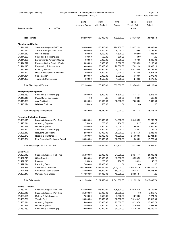Lower Macungie Township **Budget Worksheet - 2020 Budget (With Reserve Transfers) Page:** 6 Page: 6 Periods: 01/20-12/20 Nov 22, 2019 02:02PM 2020 2020 2019 2019 2018 Approved Budget Initial Budget Budget Year to Date Actual Account Number **Account Title** Account Title Actual Actual Actual Actual Actual Actual Actual Actual Actual Actual Total Permits: 502,000.00 502,000.00 472,500.00 348,318.90 531,921.13 **Planning and Zoning** 01.414.112 Salaries & Wages - Full Time 203,900.00 205,500.00 294,100.00 236,272.09 261,885.00 01.414.115 Salaries & Wages - Part Time 8,000.00 8,000.00 8,000.00 7,316.60 5,139.00 01.414.210 Office Supplies 1,500.00 1,500.00 1,500.00 802.50 336.97 01.414.260 Small Tools & Minor Equip 600.00 500.00 500.00 500.00 500.00 500.00 500.00 01.414.305 Environmental Advisory Council 1,000.00 3,000.00 3,000.00 1,467.69 1,695.00 01.414.312 Engineer-On Lot Grading/Pools 8,000.00 8,000.00 7,000.00 7,528.33 6,135.00 01.414.313 Engineering & Architectural 20,000.00 20,000.00 20,000.00 17,092.90 11,607.16 01.414.319 Planning Studies 25,000.00 25,000.00 25,000.00 45,315.50 39,789.50 01.414.420 Dues, Subscriptions & Member 1,500.00 1,500.00 1,200.00 1,418.00 1,077.35 01.414.454 Stenographer 2,000.00 2,000.00 2,000.00 1,310.00 2,075.00 01.414.460 Training & Conferences 1,500.00 1,500.00 1,500.00 1,500.00 1,248.32 1,473.85 Total Planning and Zoning: 272,900.00 276,500.00 363,800.00 319,786.92 331,213.83 **Emergency Management** 01.415.260 Small Tools & Minor Equip 5,000.00 5,000.00 6,500.00 4,741.24 8,218.39 01.415.315 Public Safety Commission .00 .00 .00 500.00 496.00 560.00 01.415.320 Auto Notification 10,000.00 10,000.00 10,000.00 7,600.00 7,600.00 01.415.324 Wireless Equipment 201.415.324 Wireless Equipment 350.00 550.00 550.00 .00 Total Emergency Management: 15,550.00 15,550.00 17,000.00 12,837.24 16,378.39 **Recycling Collection Disposal** 01.426.115 Salaries & Wages - Part Time 36,600.00 36,600.00 34,000.00 25,425.99 26,268.76 01.426.241 Operating Supplies 750.00 750.00 750.00 6.17 344.97 01.426.249 General Expense 4,500.00 4,500.00 5,000.00 1,668.41 3,905.01 01.426.260 Small Tools & Minor Equip 3,500.00 3,500.00 3,500.00 383.83 25.79 01.426.310 Recycling Consultant 2,500.00 19,000.00 25,000.00 24,675.75 3,388.80 01.426.372 Repairs & Maintenance 15,000.00 15,000.00 15,000.00 21,308.83 20,981.21 01.426.384 ELM Recycling Equipment Rental 30,000.00 30,000.00 30,000.00 1,269.62 17,729.33 Total Recycling Collection Disposal: 92,850.00 109,350.00 113,250.00 74,738.60 72,643.87 **Solid Waste** 01.427.112 Salaries & Wages - Full Time 25,900.00 25,900.00 24,900.00 23,344.41 24,096.32 01.427.210 Office Supplies 15,000.00 15,000.00 15,000.00 10,398.83 12,051.71 01.427.215 Postage 250.00 250.00 250.00 194.29 143.25 01.427.244 Recycling Carts 17,000.00 17,000.00 00 .00 .00 .00 .00 01.427.367 Solid Waste Collection 2,857,500.00 2,857,500.00 2,200,000.00 2,099,248.16 2,202,247.43 01.427.446 Contracted Leaf Collection 88,000.00 88,000.00 88,000.00 29,182.33 87,546.99 01.427.447 Curbside Yard Waste 117,900.00 117,900.00 13,200.00 28,664.64 .00 Total Solid Waste: 3,121,550.00 3,121,550.00 2,341,350.00 2,191,032.66 2,326,085.70 **Roads - General** 01.430.112 Salaries & Wages - Full Time 823,000.00 823,000.00 795,300.00 679,202.30 715,760.00 01.430.115 Salaries & Wages - Part Time 25,900.00 25,900.00 25,500.00 .00 9,213.75 01.430.191 Uniform & Safety Apparel 7,500.00 7,500.00 7,500.00 7,500.00 4,979.38 7,271.25 01.430.231 Vehicle Fuel 90,000.00 90,000.00 80,500.00 79,148.47 92,513.00 01.430.241 Operating Supplies 25,000.00 25,000.00 25,000.00 14,319.70 16,005.76 01.430.249 General Expense 4,500.00 4,500.00 4,500.00 2,366.50 6,631.08 01.430.260 Small Tools & Minor Equip 30,000.00 30,000.00 30,000.00 14,767.60 25,650.61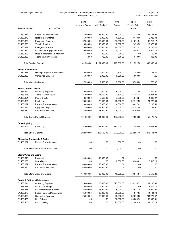| Lower Macungie Township<br>Budget Worksheet - 2020 Budget (With Reserve Transfers)<br>Periods: 01/20-12/20 |                                       |                                |                               |                       | Page: 7<br>Nov 22, 2019 02:02PM |                |  |
|------------------------------------------------------------------------------------------------------------|---------------------------------------|--------------------------------|-------------------------------|-----------------------|---------------------------------|----------------|--|
| <b>Account Number</b>                                                                                      | <b>Account Title</b>                  | 2020<br><b>Approved Budget</b> | 2020<br><b>Initial Budget</b> | 2019<br><b>Budget</b> | 2019<br>Year to Date<br>Actual  | 2018<br>Actual |  |
|                                                                                                            |                                       |                                |                               |                       |                                 |                |  |
| 01.430.371                                                                                                 | <b>Street Tree Maintenance</b>        | 45,000.00                      | 45,000.00                     | 45,000.00             | 14,246.00                       | 33,147.00      |  |
| 01.430.372                                                                                                 | Repairs & Maintenance                 | 6,000.00                       | 6,000.00                      | 6,500.00              | 3,140.09                        | 2,926.38       |  |
| 01.430.374                                                                                                 | <b>Equipment Repairs</b>              | 67,500.00                      | 67,500.00                     | 67,500.00             | 61,674.84                       | 66,713.17      |  |
| 01.430.378                                                                                                 | <b>Vehicle Repairs</b>                | 10,000.00                      | 10,000.00                     | 10,000.00             | 12,479.95                       | 13,977.55      |  |
| 01.430.379                                                                                                 | <b>Emergency Repairs</b>              | 20,000.00                      | 20,000.00                     | 20,000.00             | 22,077.02                       | 4,766.41       |  |
| 01.430.384                                                                                                 | Machinery & Equipment Rentals         | 6,000.00                       | 6,000.00                      | 10,000.00             | 2,580.71                        | 3,976.15       |  |
| 01.430.420                                                                                                 | Dues, Subscriptions & Member          | 200.00                         | 200.00                        | 200.00                | .00                             | 109.97         |  |
| 01.430.460                                                                                                 | <b>Training &amp; Conferences</b>     | 750.00                         | 750.00                        | 500.00                | 540.00                          | 405.00         |  |
|                                                                                                            | Total Roads - General:                | 1,161,350.00                   | 1,161,350.00                  | 1,128,000.00          | 911,522.56                      | 999,067.08     |  |
| <b>Winter Maintenance</b>                                                                                  |                                       |                                |                               |                       |                                 |                |  |
| 01.432.255                                                                                                 | Damage Repair & Replacement           | 2,500.00                       | 2,500.00                      | 2,500.00              | 755.60                          | 728.47         |  |
| 01.432.450                                                                                                 | <b>Contracted Services</b>            | 5,000.00                       | 5,000.00                      | 5,000.00              | 5,000.00                        | .00            |  |
|                                                                                                            | Total Winter Maintenance:             | 7,500.00                       | 7,500.00                      | 7,500.00              | 5,755.60                        | 728.47         |  |
| <b>Traffic Control Devices</b>                                                                             |                                       |                                |                               |                       |                                 |                |  |
| 01.433.241                                                                                                 | <b>Operating Supplies</b>             | 2,500.00                       | 2,500.00                      | 5,000.00              | 1,721.89                        | 479.00-        |  |
| 01.433.245                                                                                                 | Traffic & Street Signs                | 27,500.00                      | 27,500.00                     | 27,500.00             | 15,786.31                       | 15,091.23      |  |
| 01.433.321                                                                                                 | Phone & Data                          | 6,500.00                       | 6,500.00                      | 7,600.00              | 4,518.27                        | 4,848.07       |  |
| 01.433.361                                                                                                 | Electricity                           | 26,000.00                      | 26,000.00                     | 26,000.00             | 22,712.59                       | 21,222.80      |  |
| 01.433.372                                                                                                 | Repairs & Maintenance                 | 8,000.00                       | 8,000.00                      | 8,000.00              | 8,097.09                        | 6,298.58       |  |
| 01.433.374                                                                                                 | <b>Equipment Repairs</b>              | 17,500.00                      | 17,500.00                     | 17,500.00             | 14,357.44                       | 6,194.07       |  |
| 01.433.450                                                                                                 | <b>Contracted Services</b>            | 16,000.00                      | 16,000.00                     | 16,000.00             | 10,700.00                       | .00            |  |
|                                                                                                            | <b>Total Traffic Control Devices:</b> | 104,000.00                     | 104,000.00                    | 107,600.00            | 77,893.59                       | 53,175.75      |  |
| <b>Street Lighting</b>                                                                                     |                                       |                                |                               |                       |                                 |                |  |
| 01.434.361                                                                                                 | Electricity                           | 292,600.00                     | 292,600.00                    | 277,000.00            | 222,596.40                      | 278,641.90     |  |
| <b>Total Street Lighting:</b>                                                                              |                                       | 292,600.00                     | 292,600.00                    | 277,000.00            | 222,596.40                      | 278,641.90     |  |
| <b>Sidewalks, Crosswalks &amp; Trails</b>                                                                  |                                       |                                |                               |                       |                                 |                |  |
| 01.435.372                                                                                                 | Repairs & Maintenance                 | .00                            | .00                           | 11,000.00             | .00                             | .00            |  |
|                                                                                                            | Total Sidewalks, Crosswalks & Trails: | .00                            | .00                           | 11,000.00             | .00                             | .00.           |  |
| <b>Storm Water and Drains</b>                                                                              |                                       |                                |                               |                       |                                 |                |  |
| 01.436.313                                                                                                 | Engineering                           | 24,000.00                      | 10,000.00                     | .00                   | .00                             | .00            |  |
| 01.436.366                                                                                                 | <b>Storm Drains</b>                   | .00                            | .00                           | 10,000.00             | 9,944.81                        | 5,510.29       |  |
| 01.436.372                                                                                                 | Repairs & Maintenance                 | 60,000.00                      | 10,000.00                     | .00                   | .00                             | .00            |  |
| 01.436.450                                                                                                 | <b>Contracted Services</b>            | 65,000.00                      | 65,000.00                     | .00                   | .00                             | .00.           |  |
|                                                                                                            | Total Storm Water and Drains:         | 149,000.00                     | 85,000.00                     | 10,000.00             | 9,944.81                        | 5,510.29       |  |
| Roads & Bridges - Maintenance                                                                              |                                       |                                |                               |                       |                                 |                |  |
| 01.438.241                                                                                                 | <b>Operating Supplies</b>             | 225,000.00                     | 225,000.00                    | 325,000.00            | 218,326.73                      | 61,135.86      |  |
| 01.438.258                                                                                                 | Materials & Freight                   | 2,000.00                       | 2,000.00                      | 2,000.00              | .00                             | 3,379.70       |  |
| 01.438.376                                                                                                 | Guide Rail Repair & Maint             | 25,000.00                      | 25,000.00                     | 25,000.00             | 3,917.70                        | 1,000.00       |  |
| 01.438.377                                                                                                 | Bridge Repair & Maintenance           | 85,000.00                      | 85,000.00                     | 85,000.00             | 1,977.65                        | 14,404.72      |  |
| 01.438.450                                                                                                 | <b>Contracted Services</b>            | 25,000.00                      | 25,000.00                     | 25,000.00             | 22,670.92                       | 294,775.67     |  |
| 01.438.455                                                                                                 | Line Striping                         | .00                            | .00                           | 80,000.00             | 46,085.74                       | 50,992.51      |  |
| 01.438.456                                                                                                 | <b>Crack Sealing</b>                  | .00                            | .00                           | 95,000.00             | 91,049.10                       | 64,216.79      |  |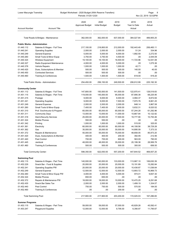| Lower Macungie Township              |                                      | Budget Worksheet - 2020 Budget (With Reserve Transfers)<br>Periods: 01/20-12/20 |                               |                       |                                | Page:<br>8<br>Nov 22, 2019 02:02PM |
|--------------------------------------|--------------------------------------|---------------------------------------------------------------------------------|-------------------------------|-----------------------|--------------------------------|------------------------------------|
| <b>Account Number</b>                | <b>Account Title</b>                 | 2020<br><b>Approved Budget</b>                                                  | 2020<br><b>Initial Budget</b> | 2019<br><b>Budget</b> | 2019<br>Year to Date<br>Actual | 2018<br>Actual                     |
|                                      | Total Roads & Bridges - Maintenance: | 362,000.00                                                                      | 362,000.00                    | 637,000.00            | 384,027.84                     | 489,905.25                         |
| <b>Public Works - Administration</b> |                                      |                                                                                 |                               |                       |                                |                                    |
| 01.440.112                           | Salaries & Wages - Full Time         | 217,100.00                                                                      | 218,800.00                    | 212,000.00            | 192,443.49                     | 206,465.11                         |
| 01.440.241                           | <b>Operating Supplies</b>            | 2,000.00                                                                        | 2,000.00                      | 2,000.00              | 51.24                          | 334.96                             |
| 01.440.249                           | <b>General Expense</b>               | 5,000.00                                                                        | 5,000.00                      | 6,000.00              | 1,892.59                       | 2,272.50                           |
| 01.440.260                           | Small Tools & Minor Equip            | 3,750.00                                                                        | 3,750.00                      | 4,500.00              | .00                            | 2,044.09                           |
| 01.440.324                           | Wireless Equipment                   | 19,100.00                                                                       | 19,100.00                     | 16,500.00             | 11,723.96                      | 12,041.08                          |
| 01.440.327                           | Radio Equipment Maintenance          | 4,000.00                                                                        | 4,000.00                      | 5,000.00              | .00                            | 1,075.36                           |
| 01.440.378                           | <b>Vehicle Repairs</b>               | 1,000.00                                                                        | 1,000.00                      | 1,000.00              | 42.71                          | .00                                |
| 01.440.420                           | Dues, Subscriptions & Member         | 500.00                                                                          | 500.00                        | 500.00                | 140.00                         | 40.00                              |
| 01.440.450                           | <b>Contracted Services</b>           | 500.00                                                                          | 500.00                        | 500.00                | .00                            | .00                                |
| 01.440.460                           | Training & Conferences               | 1,500.00                                                                        | 1,500.00                      | 1,500.00              | 619.00                         | 919.20                             |
|                                      | Total Public Works - Administration: | 254,450.00                                                                      | 256,150.00                    | 249.500.00            | 206,912.99                     | 225,192.30                         |
| <b>Community Center</b>              |                                      |                                                                                 |                               |                       |                                |                                    |
| 01.451.112                           | Salaries & Wages - Full Time         | 147,800.00                                                                      | 150,500.00                    | 141,500.00            | 122,970.41                     | 128,519.83                         |
| 01.451.115                           | Salaries & Wages - Part Time         | 119,000.00                                                                      | 145,000.00                    | 95,000.00             | 87,906.38                      | 68,225.95                          |
| 01.451.215                           | Postage                              | 9,000.00                                                                        | 9,000.00                      | 8,000.00              | 4,994.37                       | 8,872.84                           |
| 01.451.241                           | <b>Operating Supplies</b>            | 9,000.00                                                                        | 9,000.00                      | 7,500.00              | 7,970.76                       | 8,661.20                           |
| 01.451.249                           | <b>General Expense</b>               | 2,000.00                                                                        | 2,000.00                      | 2,000.00              | 848.14                         | 3,867.58                           |
| 01.451.260                           | Small Tools & Minor Equip            | 7,400.00                                                                        | 7,400.00                      | 7,400.00              | 5,632.31                       | 6,020.52                           |
| 01.451.310                           | Prof. Svs/Intructor & Program        | 65,000.00                                                                       | 65,000.00                     | 65,000.00             | 57,244.28                      | 61,292.96                          |
| 01.451.311                           | <b>Community Days</b>                | 13,000.00                                                                       | 13,000.00                     | 11,000.00             | 10,667.94                      | 10,122.82                          |
| 01.451.318                           | <b>Alarm/Security Services</b>       | 25,000.00                                                                       | 20,000.00                     | 17,500.00             | 19,777.90                      | 10,793.46                          |
| 01.451.324                           | <b>Mobile Phones</b>                 | 550.00                                                                          | 550.00                        | .00                   | .00                            | .00                                |
| 01.451.342                           | Printing                             | 1,000.00                                                                        | 1,000.00                      | 1,000.00              | 515.00                         | 325.00                             |
| 01.451.361                           | Electricity                          | 60,000.00                                                                       | 60,000.00                     | 60,000.00             | 44,108.56                      | 38,729.28                          |
| 01.451.362                           | Gas                                  | 35,000.00                                                                       | 35,000.00                     | 30,000.00             | 14,895.09                      | 7,373.33                           |
| 01.451.372                           | Repairs & Maintenance                | 55,000.00                                                                       | 55,000.00                     | 75,000.00             | 48,658.05                      | 85,973.20                          |
| 01.451.420                           | Dues, Subscriptions & Member         | 400.00                                                                          | 400.00                        | 200.00                | 392.95                         | 212.95                             |
| 01.451.440                           | Pest Control                         | 700.00                                                                          | 700.00                        | 600.00                | 563.00                         | 790.00                             |
| 01.451.445                           | Janitoral                            | 48,000.00                                                                       | 48,000.00                     | 35,000.00             | 20,199.38                      | 28,569.78                          |
| 01.451.460                           | Training & Conferences               | 500.00                                                                          | 500.00                        | 500.00                | 300.00                         | 656.50                             |
|                                      | <b>Total Community Center:</b>       | 598,350.00                                                                      | 622,050.00                    | 557,200.00            | 447,644.52                     | 469,007.20                         |
| <b>Swimming Pool</b>                 |                                      |                                                                                 |                               |                       |                                |                                    |
| 01.452.115                           | Salaries & Wages - Part Time         | 140,000.00                                                                      | 140,000.00                    | 133,000.00            | 113,987.10                     | 106,630.39                         |
| 01.452.229                           | Snack Bar - Food & Supplies          | 20,000.00                                                                       | 20,000.00                     | 20,000.00             | 15,191.89                      | 15,282.84                          |
| 01.452.241                           | <b>Operating Supplies PW</b>         | 20,000.00                                                                       | 20,000.00                     | 20,000.00             | 15,438.87                      | 11,036.64                          |
| 01.452.249                           | <b>General Expense</b>               | 12,500.00                                                                       | 12,500.00                     | 12,500.00             | 13,893.72                      | 16,869.73                          |
| 01.452.260                           | Small Tools & Minor Equip PW         | 4,000.00                                                                        | 4,000.00                      | 5,000.00              | 974.01                         | 9,657.30                           |
| 01.452.324                           | <b>Mobile Phones</b>                 | 650.00                                                                          | 650.00                        | .00                   | .00                            | .00                                |
| 01.452.372                           | Repairs & Maintenance PW             | 18,000.00                                                                       | 18,000.00                     | 10,000.00             | 10,470.25                      | 6,291.68                           |
| 01.452.430                           | Snack Bar Sales Tax                  | 2,000.00                                                                        | 2,000.00                      | 2,000.00              | 1,499.19                       | 1,334.07                           |
| 01.452.440                           | Pest Control                         | 750.00                                                                          | 750.00                        | 500.00                | 570.00                         | 184.00                             |
| 01.452.460                           | Training & Conferences               | .00                                                                             | .00                           | 200.00                | .00                            | .00                                |
| <b>Total Swimming Pool:</b>          |                                      | 217,900.00                                                                      | 217,900.00                    | 203,200.00            | 172,025.03                     | 167,286.65                         |
| <b>Summer Programs</b>               |                                      |                                                                                 |                               |                       |                                |                                    |
| 01.453.115                           | Salaries & Wages - Part Time         | 59,000.00                                                                       | 59,000.00                     | 57,000.00             | 45,829.28                      | 45,592.41                          |
| 01.453.247                           | <b>Playground Supplies</b>           | 12,000.00                                                                       | 12,000.00                     | 9,795.00              | 6,356.97                       | 11,795.67                          |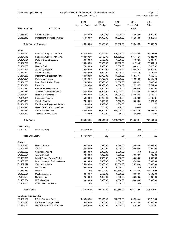| Lower Macungie Township<br>Budget Worksheet - 2020 Budget (With Reserve Transfers)<br>Periods: 01/20-12/20 |                                             |                                |                               |                       | Page:<br>- 9<br>Nov 22, 2019 02:02PM |                  |  |
|------------------------------------------------------------------------------------------------------------|---------------------------------------------|--------------------------------|-------------------------------|-----------------------|--------------------------------------|------------------|--|
| <b>Account Number</b>                                                                                      | <b>Account Title</b>                        | 2020<br><b>Approved Budget</b> | 2020<br><b>Initial Budget</b> | 2019<br><b>Budget</b> | 2019<br>Year to Date<br>Actual       | 2018<br>Actual   |  |
| 01.453.249                                                                                                 | General Expense                             | 4,000.00                       | 4,000.00                      | 4,000.00              | 1,852.49                             | 3,979.07         |  |
| 01.453.310                                                                                                 | Professional Services/Program               | 11,000.00                      | 17,000.00                     | 16,205.00             | 16,204.59                            | 11,263.64        |  |
|                                                                                                            | <b>Total Summer Programs:</b>               | 86,000.00                      | 92,000.00                     | 87,000.00             | 70,243.33                            | 72,630.79        |  |
| Parks                                                                                                      |                                             |                                |                               |                       |                                      |                  |  |
| 01.454.112                                                                                                 | Salaries & Wages - Full Time                | 513,300.00                     | 513,300.00                    | 488,900.00            | 378,728.89                           | 406,187.90       |  |
| 01.454.115                                                                                                 | Salaries & Wages - Part Time                | 108,500.00                     | 108,500.00                    | 108,600.00            | 60,746.21                            | 78,223.09        |  |
| 01.454.191                                                                                                 | Uniform & Safety Apparel                    | 6,500.00                       | 6,500.00                      | 6,500.00              | 4,136.25                             | 5,387.81         |  |
| 01.454.221                                                                                                 | Mulch                                       | 25,000.00                      | 25,000.00                     | 25,000.00             | 15,171.40                            | 23,894.10        |  |
| 01.454.230                                                                                                 | <b>Heating Fuel</b>                         | 7,000.00                       | 7,000.00                      | 7,000.00              | 3,000.12                             | 3,423.61         |  |
| 01.454.241                                                                                                 | <b>Operating Supplies</b>                   | 25.000.00                      | 25,000.00                     | 25,000.00             | 20,548.87                            | 22,076.51        |  |
| 01.454.249                                                                                                 | General Expense                             | 6,000.00                       | 6,000.00                      | 6,000.00              | 5,783.16                             | 4,120.84         |  |
| 01.454.253                                                                                                 | Machinery & Equipment Parts                 | 13,000.00                      | 13,000.00                     | 11,000.00             | 11,831.14                            | 7,558.56         |  |
| 01.454.254                                                                                                 | Park Replacements                           | 37,000.00                      | 37,000.00                     | 37,000.00             | 18,609.83                            | 28,546.72        |  |
| 01.454.260                                                                                                 | Small Tools & Minor Equip                   | 12,000.00                      | 12,000.00                     | 12,000.00             | 3,336.22                             | 8,430.08         |  |
| 01.454.361                                                                                                 | Electricity                                 | 11,000.00                      | 11,000.00                     | 8,000.00              | 11,913.67                            | 13,701.64        |  |
| 01.454.370                                                                                                 | Pump Park Maintenance                       | .00                            | 3,500.00                      | 2,000.00              | 3,000.00-                            | 3,000.00         |  |
| 01.454.371                                                                                                 | Township Tree Maintenance                   | 75,000.00                      | 75,000.00                     | 100,000.00            | 4,445.00                             | 40,521.56        |  |
| 01.454.372                                                                                                 | Repairs & Maintenance                       | 50,000.00                      | 50,000.00                     | 50,000.00             | 10,159.11                            | 16,543.45        |  |
| 01.454.374                                                                                                 | <b>Equipment Repairs</b>                    | 15,000.00                      | 15,000.00                     | 10,000.00             | 5,487.63                             | 12,409.31        |  |
| 01.454.378                                                                                                 | Vehicle Repairs                             | 7,500.00                       | 7,500.00                      | 7,500.00              | 5,835.06                             | 7,021.02         |  |
| 01.454.384                                                                                                 | Machinery & Equipment Rentals               | 1,000.00                       | 1,000.00                      | 1,000.00              | .00                                  | .00              |  |
| 01.454.420                                                                                                 | Dues, Subscriptions & Member                | 200.00                         | 200.00                        | 200.00                | 80.00                                | 35.00            |  |
| 01.454.450                                                                                                 | <b>Contracted Services</b>                  | 65,000.00                      | 65,000.00                     | 130,000.00            | 119,874.25                           | 101,228.75       |  |
| 01.454.460                                                                                                 | Training & Conferences                      | 300.00                         | 300.00                        | 250.00                | 280.00                               | 155.00           |  |
| <b>Total Parks:</b>                                                                                        |                                             | 978,300.00                     | 981,800.00                    | 1,035,950.00          | 676,966.81                           | 782,464.95       |  |
|                                                                                                            |                                             |                                |                               |                       |                                      |                  |  |
| <b>LMT Library</b><br>01.456.500                                                                           | Library Subsidy                             | 584,000.00                     | .00                           | .00                   | .00                                  | .00              |  |
|                                                                                                            |                                             |                                |                               |                       |                                      |                  |  |
| Total LMT Library:                                                                                         |                                             | 584,000.00                     | .00                           | .00                   | .00                                  | .00.             |  |
| Grants<br>01.459.520                                                                                       | <b>Historical Society</b>                   | 5,920.00                       | 5,920.00                      | 8,089.00              | 3,866.50                             | 26,098.54        |  |
| 01.459.521                                                                                                 | <b>CACLV</b>                                | 2,500.00                       | 5,000.00                      | 5,000.00              | 5,000.00                             | 5,000.00         |  |
| 01.459.523                                                                                                 | Volunteer Projects                          | 2,000.00                       | 2,000.00                      | 2,000.00              | .00                                  | 1,658.50         |  |
| 01.459.524                                                                                                 | <b>Animal Control</b>                       | 7,000.00                       | 7,000.00                      | 7,000.00              | 7,000.00                             | 730.00           |  |
| 01.459.525                                                                                                 | Lehigh County Senior Center                 | 4,000.00                       | 4,000.00                      | 4,000.00              | 4,000.00                             | 4,000.00         |  |
| 01.459.526                                                                                                 | Lower Macungie Senior Citizens              | 9,000.00                       | 9,000.00                      | 9,000.00              | 6,750.00                             | 9,000.00         |  |
| 01.459.527                                                                                                 | <b>Youth Association</b>                    | 75,000.00                      | 75,000.00                     | 75,000.00             | 2,875.00                             | 75,000.00        |  |
| 01.459.528                                                                                                 | <b>LMT Lazers</b>                           | 9,000.00                       | 9,000.00                      | 6,000.00              | .00                                  | 5,511.97         |  |
|                                                                                                            |                                             |                                |                               |                       |                                      |                  |  |
| 01.459.530                                                                                                 | Library                                     | .00                            | 532,700.00                    | 532,775.00            | 532,775.00                           | 532,775.00       |  |
| 01.459.531                                                                                                 | Meals on Wheels                             | 6,500.00                       | 6,500.00                      | 6,500.00              | 6,500.00                             | 6,500.00         |  |
| 01.459.532                                                                                                 | Garden Club                                 | 2,500.00                       | 4,000.00                      | 4,000.00              | 3,567.05                             | 3,997.96         |  |
| 01.459.534<br>01.459.535                                                                                   | <b>LMT Mustangs</b><br>LV Homeless Veterans | 8,000.00<br>.00                | 8,000.00<br>.00               | 8,000.00<br>5,000.00  | 8,000.00<br>.00                      | 8,000.00<br>.00. |  |
| Total Grants:                                                                                              |                                             | 131,420.00                     | 668,120.00                    | 672,364.00            | 580,333.55                           | 678,271.97       |  |
|                                                                                                            |                                             |                                |                               |                       |                                      |                  |  |
| <b>Employer Paid Beneftis</b><br>01.481.192                                                                | FICA - Employer Paid                        | 230,000.00                     | 230,000.00                    | 220,000.00            | 180,553.44                           | 198,710.65       |  |
| 01.481.193                                                                                                 | Medicare - Employer Paid                    | 55,000.00                      | 55,000.00                     | 52,000.00             | 42,492.84                            | 46,696.05        |  |
| 01.481.194                                                                                                 | <b>Unemployment Compensation</b>            | 10,000.00                      | 10,000.00                     | 10,000.00             | 5,348.64                             | 14,245.07        |  |
|                                                                                                            |                                             |                                |                               |                       |                                      |                  |  |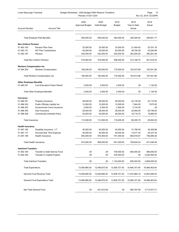| Lower Macungie Township<br>Budget Worksheet - 2020 Budget (With Reserve Transfers)<br>Periods: 01/20-12/20 |                                      |                                | Page:<br>10<br>Nov 22, 2019 02:02PM |                       |                                |                |
|------------------------------------------------------------------------------------------------------------|--------------------------------------|--------------------------------|-------------------------------------|-----------------------|--------------------------------|----------------|
| <b>Account Number</b>                                                                                      | <b>Account Title</b>                 | 2020<br><b>Approved Budget</b> | 2020<br><b>Initial Budget</b>       | 2019<br><b>Budget</b> | 2019<br>Year to Date<br>Actual | 2018<br>Actual |
|                                                                                                            | <b>Total Employer Paid Beneftis:</b> | 295,000.00                     | 295,000.00                          | 282,000.00            | 228,394.92                     | 259,651.77     |
| <b>Non Uniform Pension</b>                                                                                 |                                      |                                |                                     |                       |                                |                |
| 01.483.150                                                                                                 | <b>Pension Plan Fees</b>             | 33,000.00                      | 33,000.00                           | 33,000.00             | 21,404.42                      | 25,761.76      |
| 01.483.151                                                                                                 | 457 Plan Contributions               | 55,000.00                      | 55,000.00                           | 50,000.00             | 38,785.28                      | 43,294.98      |
| 01.483.197                                                                                                 | Pension                              | 430,000.00                     | 430,000.00                          | 425,000.00            | 354,000.00                     | 382,561.69     |
|                                                                                                            | Total Non Uniform Pension:           | 518,000.00                     | 518,000.00                          | 508,000.00            | 414,189.70                     | 451,618.43     |
| <b>Workers Compensation Ins</b>                                                                            |                                      |                                |                                     |                       |                                |                |
| 01.484.354                                                                                                 | <b>Workers Compensation</b>          | 185,000.00                     | 185,000.00                          | 175,000.00            | 163,573.96                     | 187,641.86     |
|                                                                                                            | Total Workers Compensation Ins:      | 185,000.00                     | 185,000.00                          | 175,000.00            | 163,573.96                     | 187,641.86     |
| <b>Other Employee Benefits</b>                                                                             |                                      |                                |                                     |                       |                                |                |
| 01.485.301                                                                                                 | <b>Cont Education/Tuition Reimb</b>  | 2,500.00                       | 2,500.00                            | 2,400.00              | .00                            | 1,130.00       |
|                                                                                                            | Total Other Employee Benefits:       | 2,500.00                       | 2,500.00                            | 2,400.00              | .00                            | 1,130.00       |
| Insurance                                                                                                  |                                      |                                |                                     |                       |                                |                |
| 01.486.351                                                                                                 | Property Insurance                   | 48,000.00                      | 48,000.00                           | 48,000.00             | 42,130.00                      | 43,115.00      |
| 01.486.352                                                                                                 | Public Officials Liability Ins       | 12,000.00                      | 12,000.00                           | 12,000.00             | 7,844.00                       | 7,870.00       |
| 01.486.353                                                                                                 | Governmmet Crime Insurance           | 2,500.00                       | 2,500.00                            | 2,500.00              | 2,133.00                       | .00            |
| 01.486.355                                                                                                 | Auto Insurance                       | 26,000.00                      | 26,000.00                           | 26,000.00             | 20,480.00                      | 25,748.00      |
| 01.486.356                                                                                                 | Commercial Umbrella Policy           | 25,000.00                      | 25,000.00                           | 28,000.00             | 16,718.70                      | 18,869.00      |
| Total Insurance:                                                                                           |                                      | 113,500.00                     | 113,500.00                          | 116,500.00            | 89,305.70                      | 95,602.00      |
| <b>Health Insurance</b>                                                                                    |                                      |                                |                                     |                       |                                |                |
| 01.487.160                                                                                                 | Disability Insurance - LT            | 40,000.00                      | 40,000.00                           | 40,000.00             | 31,706.45                      | 35,409.88      |
| 01.487.177                                                                                                 | <b>Accrued Sick Time Expense</b>     | 40,000.00                      | 40,000.00                           | 50,000.00             | 13,417.42                      | 35,237.32      |
| 01.487.196                                                                                                 | <b>Health Insurance</b>              | 835,000.00                     | 815,000.00                          | 751,000.00            | 664,816.67                     | 746,899.28     |
|                                                                                                            | Total Health Insurance:              | 915,000.00                     | 895,000.00                          | 841,000.00            | 709,940.54                     | 817,546.48     |
| <b>Interfund Transfers</b>                                                                                 |                                      |                                |                                     |                       |                                |                |
| 01.492.190                                                                                                 | Transfer to Debt Service Fund        | .00                            | .00                                 | 700,000.00            | 600,000.00                     | 596,000.00     |
| 01.492.300                                                                                                 | <b>Transfer to Capital Projects</b>  | .00                            | .00                                 | 434,000.00            | .00                            | 4,250,000.00   |
|                                                                                                            | <b>Total Interfund Transfers:</b>    | .00                            | .00                                 | 1,134,000.00          | 600,000.00                     | 4,846,000.00   |
| Total Expenditure:                                                                                         |                                      | 13,556,860.00                  | 13,448,670.00                       | 13,836,701.00         | 10,946,181.60                  | 16,566,463.64  |
|                                                                                                            | General Fund Revenue Total:          | 13,556,860.00                  | 13,026,860.00                       | 13,836,701.00         | 11,910,969.18                  | 12,853,489.93  |
|                                                                                                            | General Fund Expenditure Total:      | 13,556,860.00                  | 13,448,670.00                       | 13,836,701.00         | 10,946,181.60                  | 16,566,463.64  |
|                                                                                                            | Net Total General Fund:              | .00.                           | 421,810.00-                         | .00                   | 964,787.58                     | 3,712,973.71-  |
|                                                                                                            |                                      |                                |                                     |                       |                                |                |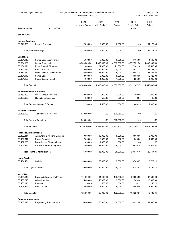| Budget Worksheet - 2020 Budget (With Reserve Transfers)<br>Lower Macungie Township<br>Periods: 01/20-12/20 |                                           |                                |                               |                | Page:<br>- 11<br>Nov 22, 2019 02:02PM |                |  |
|------------------------------------------------------------------------------------------------------------|-------------------------------------------|--------------------------------|-------------------------------|----------------|---------------------------------------|----------------|--|
| <b>Account Number</b>                                                                                      | <b>Account Title</b>                      | 2020<br><b>Approved Budget</b> | 2020<br><b>Initial Budget</b> | 2019<br>Budget | 2019<br>Year to Date<br>Actual        | 2018<br>Actual |  |
| <b>Sewer Fund</b>                                                                                          |                                           |                                |                               |                |                                       |                |  |
|                                                                                                            |                                           |                                |                               |                |                                       |                |  |
| <b>Interest Earnings</b><br>08.341.000                                                                     | <b>Interest Earnings</b>                  | 2,000.00                       | 2.000.00                      | 2,000.00       | .00                                   | 64,172.40      |  |
|                                                                                                            | <b>Total Interest Earnings:</b>           | 2,000.00                       | 2,000.00                      | 2,000.00       | .00                                   | 64,172.40      |  |
| <b>Sanitation</b>                                                                                          |                                           |                                |                               |                |                                       |                |  |
| 08.364.110                                                                                                 | <b>Sewer Connection Permit</b>            | 5,000.00                       | 5,000.00                      | 6,000.00       | 3,165.00                              | 4,495.00       |  |
| 08.364.120                                                                                                 | Sewer Regular Charges                     | 4,300,000.00                   | 4,300,000.00                  | 4,300,000.00   | 3,677,552.04                          | 4,448,905.59   |  |
| 08.364.121                                                                                                 | <b>Extra Strength Charges</b>             | 21,000.00                      | 21,000.00                     | 21,000.00      | 27,341.16                             | 32,506.05      |  |
| 08.364.125                                                                                                 | <b>Penalties Assessed</b>                 | 25,000.00                      | 25,000.00                     | 25,000.00      | 28,817.13                             | 33,151.71      |  |
| 08.364.130                                                                                                 | <b>Wastewater Allocation Fees</b>         | 25,000.00                      | 25,000.00                     | 25,000.00      | 80,957.34                             | 23,394.50      |  |
| 08.364.140                                                                                                 | <b>Sewer Certs</b>                        | 8,000.00                       | 8,000.00                      | 8,000.00       | 13,050.00                             | 12,625.00      |  |
| 08.364.150                                                                                                 | Septic System Permit                      | 1,000.00                       | 1,000.00                      | 1,500.00       | 1,225.00                              | 1,925.00       |  |
| <b>Total Sanitation:</b>                                                                                   |                                           | 4,385,000.00                   | 4,385,000.00                  | 4,386,500.00   | 3,832,107.67                          | 4,557,002.85   |  |
| <b>Reimbursements &amp; Refunds</b>                                                                        |                                           |                                |                               |                |                                       |                |  |
| 08.380.300                                                                                                 | Miscellaneous Revenue                     | 2,000.00                       | 2,000.00                      | 2,000.00       | 400.00                                | 2,800.00       |  |
| 08.380.900                                                                                                 | <b>Refunds for Expenses</b>               | 500.00                         | 500.00                        | 500.00         | 40.35                                 | 188.30         |  |
|                                                                                                            | Total Reimbursements & Refunds:           | 2,500.00                       | 2,500.00                      | 2,500.00       | 440.35                                | 2,988.30       |  |
| <b>Reserve Transfers</b>                                                                                   |                                           |                                |                               |                |                                       |                |  |
| 08.396.000                                                                                                 | <b>Transfer From Reserves</b>             | 940,600.00                     | .00                           | 520,250.00     | .00                                   | .00            |  |
|                                                                                                            | <b>Total Reserve Transfers:</b>           | 940,600.00                     | .00                           | 520,250.00     | .00                                   | .00            |  |
| Total Revenue:                                                                                             |                                           | 5,330,100.00                   | 4.389.500.00                  | 4,911,250.00   | 3,832,548.02                          | 4,624,163.55   |  |
| <b>Financial Administration</b>                                                                            |                                           |                                |                               |                |                                       |                |  |
| 08.402.311                                                                                                 | <b>Accounting &amp; Auditing Services</b> | 10,000.00                      | 10,000.00                     | 8,000.00       | 8,000.00                              | 8,000.00       |  |
| 08.402.317                                                                                                 | <b>Payroll Processing</b>                 | 2.000.00                       | 2.000.00                      | 1,500.00       | 1,250.00                              | 1,500.00       |  |
| 08.402.390                                                                                                 | <b>Bank Service Charges/Fees</b>          | 1,000.00                       | 1,000.00                      | 500.00         | .08                                   | .00            |  |
| 08.402.391                                                                                                 | <b>Credit Card Processing Fee</b>         | 22,000.00                      | 22,000.00                     | 18,000.00      | 19,820.38                             | 19,617.81      |  |
|                                                                                                            | <b>Total Financial Administration:</b>    | 35,000.00                      | 35,000.00                     | 28,000.00      | 29,070.46                             | 29,117.81      |  |
| <b>Legal Services</b>                                                                                      |                                           |                                |                               |                |                                       |                |  |
| 08.404.401                                                                                                 | Solicitor                                 | 50,000.00                      | 50,000.00                     | 15,000.00      | 10,748.87                             | 5,729.11       |  |
| <b>Total Legal Services:</b>                                                                               |                                           | 50,000.00                      | 50,000.00                     | 15,000.00      | 10,748.87                             | 5,729.11       |  |
| <b>Secretary</b>                                                                                           |                                           |                                |                               |                |                                       |                |  |
| 08.405.112                                                                                                 | Salaries & Wages - Full Time              | 104,000.00                     | 104,400.00                    | 100,700.00     | 90,535.50                             | 97,596.06      |  |
| 08.405.210                                                                                                 | <b>Office Supplies</b>                    | 15,000.00                      | 15,000.00                     | 15,000.00      | 12,500.00                             | 15,000.00      |  |
| 08.405.215                                                                                                 | Postage                                   | 500.00                         | 500.00                        | 500.00         | 194.31                                | 143.28         |  |
| 08.405.321                                                                                                 | Phone & Data                              | 6,000.00                       | 6,000.00                      | 6,000.00       | 5,000.00                              | 6,000.00       |  |
| Total Secretary:                                                                                           |                                           | 125,500.00                     | 125,900.00                    | 122,200.00     | 108,229.81                            | 118,739.34     |  |
| <b>Engineering Services</b>                                                                                |                                           |                                |                               |                |                                       |                |  |
| 08.408.313                                                                                                 | Engineering & Architectural               | 150,900.00                     | 150,000.00                    | 50,000.00      | 18,991.84                             | 44,346.83      |  |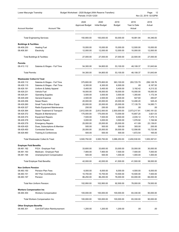| Lower Macungie Township<br>Budget Worksheet - 2020 Budget (With Reserve Transfers)<br>Periods: 01/20-12/20 |                                      |                                |                               |                       | Page:<br>12<br>Nov 22, 2019 02:02PM |                |
|------------------------------------------------------------------------------------------------------------|--------------------------------------|--------------------------------|-------------------------------|-----------------------|-------------------------------------|----------------|
| <b>Account Number</b>                                                                                      | <b>Account Title</b>                 | 2020<br><b>Approved Budget</b> | 2020<br><b>Initial Budget</b> | 2019<br><b>Budget</b> | 2019<br>Year to Date<br>Actual      | 2018<br>Actual |
|                                                                                                            |                                      |                                |                               |                       |                                     |                |
|                                                                                                            | <b>Total Engineering Services:</b>   | 150,900.00                     | 150,000.00                    | 50,000.00             | 18,991.84                           | 44,346.83      |
| <b>Buildings &amp; Facilities</b>                                                                          |                                      |                                |                               |                       |                                     |                |
| 08.409.230                                                                                                 | <b>Heating Fuel</b>                  | 15,000.00                      | 15,000.00                     | 15,000.00             | 12,500.00                           | 15,000.00      |
| 08.409.361                                                                                                 | Electricity                          | 12,000.00                      | 12,000.00                     | 12,000.00             | 10,000.00                           | 12,000.00      |
|                                                                                                            | Total Buildings & Facilities:        | 27,000.00                      | 27,000.00                     | 27,000.00             | 22,500.00                           | 27,000.00      |
| <b>Permits</b>                                                                                             |                                      |                                |                               |                       |                                     |                |
| 08.413.112                                                                                                 | Salaries & Wages - Full Time         | 54,300.00                      | 54,800.00                     | 53,100.00             | 48,108.37                           | 51,643.64      |
| <b>Total Permits:</b>                                                                                      |                                      | 54,300.00                      | 54,800.00                     | 53,100.00             | 48,108.37                           | 51,643.64      |
| <b>Wastewater Collect &amp; Treat</b>                                                                      |                                      |                                |                               |                       |                                     |                |
| 08.429.112                                                                                                 | Salaries & Wages - Full Time         | 375,800.00                     | 375,800.00                    | 363,100.00            | 293,725.79                          | 299,128.76     |
| 08.429.115                                                                                                 | Salaries & Wages - Part Time         | 6,300.00                       | 6,300.00                      | 6,500.00              | .00.                                | 6,187.50       |
| 08.429.191                                                                                                 | Uniform & Safety Apparel             | 5,400.00                       | 5,400.00                      | 5,400.00              | 3,192.42                            | 4,213.32       |
| 08.429.231                                                                                                 | Vehicle Fuel                         | 18,000.00                      | 18,000.00                     | 18,000.00             | 15,000.00                           | 18,000.00      |
| 08.429.241                                                                                                 | <b>Operating Supplies</b>            | 3,500.00                       | 3,500.00                      | 3,500.00              | 1,355.80                            | 1,172.34       |
| 08.429.249                                                                                                 | <b>General Expense</b>               | 2,500.00                       | 2,500.00                      | 2,500.00              | 547.60                              | 283.67         |
| 08.429.256                                                                                                 | <b>Sewer Risers</b>                  | 20,000.00                      | 20,000.00                     | 20,000.00             | 12,490.20                           | 525.43         |
| 08.429.260                                                                                                 | Small Tools & Minor Equip            | 20,000.00                      | 20,000.00                     | 25,000.00             | 17,135.79                           | 14,085.71      |
| 08.429.327                                                                                                 | Radio Equipment Maintenance          | 250.00                         | 250.00                        | 250.00                | .00                                 | .00            |
| 08.429.364                                                                                                 | Sewer Treatment & Transport          | 2,812,500.00                   | 2,812,500.00                  | 2,500,000.00          | 2,073,217.81                        | 1,540,181.02   |
| 08.429.372                                                                                                 | Repairs & Maintenance                | 175,000.00                     | 175,000.00                    | 73,000.00             | 15,807.20                           | 3,821.03       |
| 08.429.374                                                                                                 | <b>Equipment Repairs</b>             | 7,500.00                       | 7,500.00                      | 9,500.00              | 2,035.12                            | 7,375.13       |
| 08.429.378                                                                                                 | <b>Vehicle Repairs</b>               | 3,000.00                       | 3,000.00                      | 3,500.00              | 1,076.92                            | 1,194.94       |
| 08.429.379                                                                                                 | <b>Emergency Repairs</b>             | 25,000.00                      | 25,000.00                     | 25,000.00             | 411.89                              | 23,139.81      |
| 08.429.420                                                                                                 | Dues, Subscriptions & Member         | 500.00                         | 500.00                        | 500.00                | 305.00                              | 200.00         |
| 08.429.450                                                                                                 | <b>Contracted Services</b>           | 25,000.00                      | 25,000.00                     | 30,000.00             | 12,556.85                           | 15,723.95      |
| 08.429.460                                                                                                 | Training & Conferences               | 500.00                         | 500.00                        | 500.00                | 1,672.54                            | 165.00         |
|                                                                                                            | Total Wastewater Collect & Treat:    | 3,500,750.00                   | 3,500,750.00                  | 3,086,250.00          | 2,450,530.93                        | 1,935,397.61   |
| <b>Employer Paid Benefits</b>                                                                              |                                      |                                |                               |                       |                                     |                |
| 08.481.192                                                                                                 | FICA - Employer Paid                 | 33,600.00                      | 33,600.00                     | 33,000.00             | 33,000.00                           | 30,000.00      |
| 08.481.193                                                                                                 | Medicare - Employer Paid             | 7,900.00                       | 7,900.00                      | 7,500.00              | 7,500.00                            | 7,000.00       |
| 08.481.194                                                                                                 | Unemployment Compensation            | 500.00                         | 500.00                        | 1,000.00              | 1,000.00                            | 1,000.00       |
|                                                                                                            | <b>Total Employer Paid Benefits:</b> | 42,000.00                      | 42,000.00                     | 41,500.00             | 41,500.00                           | 38,000.00      |
| <b>Non Uniform Pension</b>                                                                                 |                                      |                                |                               |                       |                                     |                |
| 08.483.150                                                                                                 | Pension Plan Fees                    | 6,000.00                       | 6,000.00                      | 6,000.00              | 4,500.00                            | 6,000.00       |
| 08.483.151                                                                                                 | 457 Plan Contributions               | 10,700.00                      | 10,700.00                     | 10,500.00             | 10,500.00                           | 7,500.00       |
| 08.483.197                                                                                                 | Pension                              | 86,250.00                      | 86,250.00                     | 76,000.00             | 63,000.00                           | 66,000.00      |
|                                                                                                            | Total Non Uniform Pension:           | 102,950.00                     | 102,950.00                    | 92,500.00             | 78,000.00                           | 79,500.00      |
| <b>Workers Compensation Ins</b>                                                                            |                                      |                                |                               |                       |                                     |                |
| 08.484.354                                                                                                 | <b>Workers Compensation</b>          | 100,000.00                     | 100,000.00                    | 100,000.00            | 83,330.00                           | 90,000.00      |
|                                                                                                            | Total Workers Compensation Ins:      | 100,000.00                     | 100,000.00                    | 100,000.00            | 83,330.00                           | 90,000.00      |
| <b>Other Employee Benefits</b>                                                                             |                                      |                                |                               |                       |                                     |                |
| 08.485.301                                                                                                 | <b>Cont Ed/Tuition Reimbursement</b> | 1,200.00                       | 1,200.00                      | 1,200.00              | .00                                 | .00            |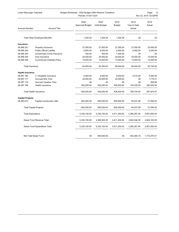| Lower Macungie Township |                                       | Budget Worksheet - 2020 Budget (With Reserve Transfers) |                               |                       |                                | 13<br>Page:          |
|-------------------------|---------------------------------------|---------------------------------------------------------|-------------------------------|-----------------------|--------------------------------|----------------------|
|                         |                                       | Periods: 01/20-12/20                                    |                               |                       |                                | Nov 22, 2019 02:02PM |
| <b>Account Number</b>   | <b>Account Title</b>                  | 2020<br><b>Approved Budget</b>                          | 2020<br><b>Initial Budget</b> | 2019<br><b>Budget</b> | 2019<br>Year to Date<br>Actual | 2018<br>Actual       |
|                         | <b>Total Other Employee Benefits:</b> | 1,200.00                                                | 1,200.00                      | 1,200.00              | .00                            | .00.                 |
| Insurance               |                                       |                                                         |                               |                       |                                |                      |
| 08.486.351              | Property Insurance                    | 27,000.00                                               | 27,000.00                     | 27,000.00             | 27,000.00                      | 23,000.00            |
| 08.486.352              | <b>Public Official Liability</b>      | 6,500.00                                                | 6,500.00                      | 6,500.00              | 6,500.00                       | 5,250.00             |
| 08.486.353              | Government Crime Insurance            | 500.00                                                  | 500.00                        | 1,500.00              | .00                            | .00                  |
| 08.486.355              | Auto Insurance                        | 20,000.00                                               | 20,000.00                     | 20,000.00             | 20,000.00                      | 14,000.00            |
| 08.486.356              | Commercial Umbrella Policy            | 10,000.00                                               | 10,000.00                     | 13,000.00             | 13,000.00                      | 10,500.00            |
| Total Insurance:        |                                       | 64,000.00                                               | 64,000.00                     | 68,000.00             | 66,500.00                      | 52,750.00            |
| <b>Health Insurance</b> |                                       |                                                         |                               |                       |                                |                      |
| 08.487.160              | LT Disability Insurance               | 6,500.00                                                | 6,500.00                      | 6,500.00              | 5,410.00                       | 5,250.00             |
| 08.487.177              | <b>Accrued Sick Time</b>              | 20,000.00                                               | 20,000.00                     | 20,000.00             | .00                            | 1,715.41             |
| 08.487.178              | <b>Accrued Vacation Time</b>          | .00                                                     | .00                           | .00                   | .00                            | 908.66               |
| 08.487.196              | Health Insurance                      | 400,000.00                                              | 400,000.00                    | 400,000.00            | 333,330.00                     | 350,000.00           |
|                         | Total Health Insurance:               | 426,500.00                                              | 426,500.00                    | 426,500.00            | 338,740.00                     | 357,874.07           |
| <b>Capital Projects</b> |                                       |                                                         |                               |                       |                                |                      |
| 08.493.610              | Capital Construction (I&I)            | 650,000.00                                              | 650,000.00                    | 800,000.00            | 84,037.56                      | 21,594.63            |
|                         | <b>Total Capital Projects:</b>        | 650,000.00                                              | 650,000.00                    | 800,000.00            | 84,037.56                      | 21,594.63            |
|                         | Total Expenditure:                    | 5,330,100.00                                            | 5,330,100.00                  | 4,911,250.00          | 3,380,287.84                   | 2,851,693.04         |
|                         | Sewer Fund Revenue Total:             | 5,330,100.00                                            | 4,389,500.00                  | 4,911,250.00          | 3,832,548.02                   | 4,624,163.55         |
|                         | Sewer Fund Expenditure Total:         | 5,330,100.00                                            | 5,330,100.00                  | 4,911,250.00          | 3,380,287.84                   | 2,851,693.04         |
|                         | Net Total Sewer Fund:                 | .00                                                     | 940,600.00-                   | .00                   | 452,260.18                     | 1,772,470.51         |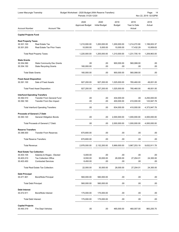| Budget Worksheet - 2020 Budget (With Reserve Transfers)<br>Lower Macungie Township<br>Periods: 01/20-12/20 |                                             |                                |                               | Page:<br>14<br>Nov 22, 2019 02:02PM |                                |                |
|------------------------------------------------------------------------------------------------------------|---------------------------------------------|--------------------------------|-------------------------------|-------------------------------------|--------------------------------|----------------|
| <b>Account Number</b>                                                                                      | <b>Account Title</b>                        | 2020<br><b>Approved Budget</b> | 2020<br><b>Initial Budget</b> | 2019<br><b>Budget</b>               | 2019<br>Year to Date<br>Actual | 2018<br>Actual |
| <b>Capital Projects Fund</b>                                                                               |                                             |                                |                               |                                     |                                |                |
| <b>Real Property Taxes</b>                                                                                 |                                             |                                |                               |                                     |                                |                |
| 30.301.100                                                                                                 | Real Estate Tax                             | 1,210,000.00                   | 1,200,000.00                  | 1,200,000.00                        | 1,214,272.90                   | 1,199,003.37   |
| 30.301.200                                                                                                 | Real Estate Tax Prior Years                 | 10,000.00                      | 5,000.00                      | 10,000.00                           | 17,432.29                      | 10,959.63      |
|                                                                                                            | <b>Total Real Property Taxes:</b>           | 1,220,000.00                   | 1,205,000.00                  | 1,210,000.00                        | 1,231,705.19                   | 1,209,963.00   |
| <b>State Grants</b>                                                                                        |                                             |                                |                               |                                     |                                |                |
| 30.354.090                                                                                                 | <b>State Community Dev Grants</b>           | .00                            | .00                           | 900,000.00                          | 560,088.00                     | .00            |
| 30.354.150                                                                                                 | <b>State Recycling Grants</b>               | 160,000.00                     | .00                           | .00                                 | .00                            | .00            |
| <b>Total State Grants:</b>                                                                                 |                                             | 160,000.00                     | .00                           | 900,000.00                          | 560,088.00                     | .00            |
| <b>Fixed Asset Disposition</b>                                                                             |                                             |                                |                               |                                     |                                |                |
| 30.391.100                                                                                                 | Sale of Fixed Assets                        | 927,200.00                     | 927,200.00                    | 1,025,000.00                        | 765,460.00                     | 49,001.00      |
|                                                                                                            | <b>Total Fixed Asset Disposition:</b>       | 927,200.00                     | 927,200.00                    | 1,025,000.00                        | 765,460.00                     | 49,001.00      |
| <b>Interfund Operating Transfers</b>                                                                       |                                             |                                |                               |                                     |                                |                |
| 30.392.010                                                                                                 | <b>Transfer From General Fund</b>           | .00                            | .00                           | 434,000.00                          | .00.                           | 4,250,000.00   |
| 30.392.190                                                                                                 | Transfer From Dev Impact                    | .00                            | .00                           | 400,000.00                          | 410,000.00                     | 123,947.78     |
|                                                                                                            | <b>Total Interfund Operating Transfers:</b> | .00                            | .00                           | 834,000.00                          | 410,000.00                     | 4,373,947.78   |
| <b>Proceeds of General LT Debt</b>                                                                         |                                             |                                |                               |                                     |                                |                |
| 30.393.120                                                                                                 | General Obligation Bonds                    | .00                            | .00                           | 2,000,000.00                        | 1,000,000.00                   | 4,000,000.00   |
|                                                                                                            | Total Proceeds of General LT Debt:          | .00                            | .00                           | 2,000,000.00                        | 1,000,000.00                   | 4,000,000.00   |
| <b>Reserve Transfers</b>                                                                                   |                                             |                                |                               |                                     |                                |                |
| 30.396.000                                                                                                 | <b>Transfer From Reserves</b>               | 670,800.00                     | .00                           | .00                                 | .00                            | .00            |
|                                                                                                            | <b>Total Reserve Transfers:</b>             | 670,800.00                     | .00                           | .00                                 | .00.                           | .00            |
| Total Revenue:                                                                                             |                                             | 2,978,000.00                   | 2,132,200.00                  | 5,969,000.00                        | 3,967,253.19                   | 9,632,911.78   |
| <b>Real Estate Tax Collection</b>                                                                          |                                             |                                |                               |                                     |                                |                |
| 30.403.105                                                                                                 | Salaries & Wages - Elected                  | 5,000.00                       | .00                           | .00                                 | .00                            | .00            |
| 30.403.210                                                                                                 | <b>Tax Collection Office</b>                | 8,550.00                       | 30,000.00                     | 28,000.00                           | 27,204.01                      | 24,300.00      |
| 30.403.450                                                                                                 | <b>Contracted Services</b>                  | 8,450.00                       | .00                           | .00                                 | .00                            | .00            |
|                                                                                                            | Total Real Estate Tax Collection:           | 22,000.00                      | 30,000.00                     | 28,000.00                           | 27,204.01                      | 24,300.00      |
| <b>Debt Principal</b>                                                                                      |                                             |                                |                               |                                     |                                |                |
| 30.471.901                                                                                                 | <b>Bond/Note Principal</b>                  | 560,000.00                     | 560,000.00                    | .00                                 | .00                            | .00            |
| <b>Total Debt Principal:</b>                                                                               |                                             | 560,000.00                     | 560,000.00                    | .00                                 | .00                            | .00            |
|                                                                                                            |                                             |                                |                               |                                     |                                |                |
| <b>Debt Interest</b><br>30.472.911                                                                         | <b>Bond/Note Interest</b>                   | 175,000.00                     | 175,000.00                    | .00                                 | .00.                           | .00            |
| Total Debt Interest:                                                                                       |                                             | 175,000.00                     | 175,000.00                    | .00                                 | .00                            | .00            |
| <b>Capital Projects</b>                                                                                    |                                             |                                |                               |                                     |                                |                |
| 30.493.319                                                                                                 | Fire Dept Vehicles                          | .00                            | .00                           | 465,000.00                          | 460,007.00                     | 883,255.70     |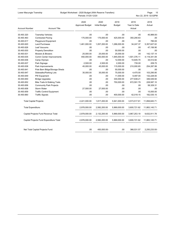| Lower Macungie Township |  |
|-------------------------|--|
|-------------------------|--|

#### Budget Worksheet - 2020 Budget (With Reserve Transfers) Page: 15

Periods: 01/20-12/20 Nov 22, 2019 02:02PM

|                                |                                          | 2020<br><b>Approved Budget</b> | 2020<br><b>Initial Budget</b> | 2019<br><b>Budget</b> | 2019<br>Year to Date | 2018<br>Actual |
|--------------------------------|------------------------------------------|--------------------------------|-------------------------------|-----------------------|----------------------|----------------|
| <b>Account Number</b>          | <b>Account Title</b>                     |                                |                               |                       | Actual               |                |
| 30.493.320                     | <b>Township Vehicles</b>                 | .00                            | .00                           | .00                   | .00                  | 45,988.00-     |
| 30.493.463                     | <b>Contracted Paving</b>                 | 175,000.00                     | 175,000.00                    | 425,000.00            | 350,290.63           | .00            |
| 30.493.617                     | Playground Equipment                     | .00                            | .00                           | .00                   | .00                  | 780.00         |
| 30.493.620                     | <b>Land Purchases</b>                    | 1,461,000.00                   | 1,057,200.00                  | 1,286,000.00          | 34,247.37            | 5,357,627.02   |
| 30.493.626                     | Leaf Vacuums                             | .00                            | .00                           | .00                   | .00                  | 47,156.90      |
| 30.493.630                     | <b>Property Demolition</b>               | .00                            | .00                           | 50.000.00             | .00                  | .00            |
| 30.493.631                     | Mowers & Blowers                         | 25.000.00                      | 25.000.00                     | 25,000.00             | .00                  | 142.137.14     |
| 30.493.635                     | Comm Center Improvements                 | 450,000.00                     | 450,000.00                    | 1,945,000.00          | 1,501,376.11         | 4,118,341.09   |
| 30.493.636                     | Camp Olympic                             | .00                            | .00                           | 12,000.00             | 10,645.70            | 34,512.82      |
| 30.493.637                     | Park Signage                             | 2,500.00                       | 2,500.00                      | 2,000.00              | 735.00               | 209.70         |
| 30.493.638                     | Park Improvements                        | 45,000.00                      | 45,000.00                     | 115,000.00            | 210,000.65           | 254,287.99     |
| 30.493.641                     | Pole Barn Bldgs/Storage Sheds            | .00.                           | .00                           | 50,000.00             | .00                  | .00            |
| 30.493.647                     | Sidewalks/Parking Lots                   | 35,000.00                      | 35,000.00                     | 75,000.00             | 4,470.00             | 103,295.85     |
| 30.493.649                     | PW Equipment                             | .00                            | .00                           | 11,000.00             | 9,497.00             | 132,228.00     |
| 30.493.650                     | <b>Bridge Upgrades</b>                   | .00                            | .00                           | 330,000.00            | 277,638.21           | 346,549.94     |
| 30.493.652                     | <b>Bike Trails &amp; Walking Trails</b>  | .00                            | .00                           | 750,000.00            | 672,591.79           | 228,587.10     |
| 30.493.656                     | <b>Community Park Projects</b>           | .00                            | .00                           | .00.                  | .00                  | 58,329.31      |
| 30.493.658                     | Storm Water                              | 27,500.00                      | 27,500.00                     | .00                   | .00.                 | .00            |
| 30.493.659                     | <b>Traffic Control Equipment</b>         | .00                            | .00                           | .00                   | .00                  | 15,000.00      |
| 30.493.660                     | <b>Traffic Signals</b>                   | .00                            | .00                           | 400,000.00            | 42,018.15            | 182,535.15     |
| <b>Total Capital Projects:</b> |                                          | 2,221,000.00                   | 1,817,200.00                  | 5,941,000.00          | 3,573,517.61         | 11,858,845.71  |
| Total Expenditure:             |                                          | 2,978,000.00                   | 2,582,200.00                  | 5,969,000.00          | 3,600,721.62         | 11,883,145.71  |
|                                | Capital Projects Fund Revenue Total:     | 2,978,000.00                   | 2,132,200.00                  | 5,969,000.00          | 3,967,253.19         | 9,632,911.78   |
|                                | Capital Projects Fund Expenditure Total: | 2,978,000.00                   | 2,582,200.00                  | 5,969,000.00          | 3,600,721.62         | 11,883,145.71  |
|                                | Net Total Capital Projects Fund:         | .00                            | 450,000.00-                   | .00.                  | 366,531.57           | 2,250,233.93-  |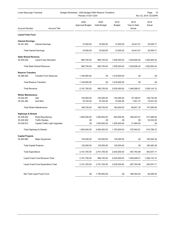| Budget Worksheet - 2020 Budget (With Reserve Transfers)<br>Lower Macungie Township<br>Periods: 01/20-12/20 |                                      |                                |                               |                |                                | Page:<br>16<br>Nov 22, 2019 02:02PM |
|------------------------------------------------------------------------------------------------------------|--------------------------------------|--------------------------------|-------------------------------|----------------|--------------------------------|-------------------------------------|
| <b>Account Number</b>                                                                                      | <b>Account Title</b>                 | 2020<br><b>Approved Budget</b> | 2020<br><b>Initial Budget</b> | 2019<br>Budget | 2019<br>Year to Date<br>Actual | 2018<br>Actual                      |
| <b>Liquid Fuels Fund</b>                                                                                   |                                      |                                |                               |                |                                |                                     |
| <b>Interest Earnings</b>                                                                                   |                                      |                                |                               |                |                                |                                     |
| 35.341.000                                                                                                 | <b>Interest Earnings</b>             | 10,000.00                      | 10,000.00                     | 12,000.00      | 18,441.81                      | 20,559.71                           |
|                                                                                                            | <b>Total Interest Earnings:</b>      | 10,000.00                      | 10,000.00                     | 12,000.00      | 18,441.81                      | 20,559.71                           |
| <b>State Shared Revenue</b>                                                                                |                                      |                                |                               |                |                                |                                     |
| 35.355.020                                                                                                 | <b>Liquid Fuels Allocation</b>       | 985,750.00                     | 985,750.00                    | 1,005,000.00   | 1,029,826.20                   | 1,005,583.44                        |
|                                                                                                            | Total State Shared Revenue:          | 985,750.00                     | 985,750.00                    | 1,005,000.00   | 1,029,826.20                   | 1,005,583.44                        |
| <b>Reserve Transfers</b>                                                                                   |                                      |                                |                               |                |                                |                                     |
| 35.396.000                                                                                                 | <b>Transfer From Reserves</b>        | 1,195,950.00                   | .00                           | 1,018,000.00   | .00                            | .00                                 |
|                                                                                                            | <b>Total Reserve Transfers:</b>      | 1,195,950.00                   | .00                           | 1,018,000.00   | .00                            | .00                                 |
| Total Revenue:                                                                                             |                                      | 2,191,700.00                   | 995,750.00                    | 2,035,000.00   | 1,048,268.01                   | 1,026,143.15                        |
| <b>Winter Maintenance</b>                                                                                  |                                      |                                |                               |                |                                |                                     |
| 35.432.281                                                                                                 | Salt                                 | 150,000.00                     | 150,000.00                    | 150,000.00     | 79,169.81                      | 136,734.56                          |
| 35.432.282                                                                                                 | Anti-Skid                            | 16,700.00                      | 16,700.00                     | 10,000.00      | 7,651.37                       | 10,531.04                           |
|                                                                                                            | Total Winter Maintenance:            | 166,700.00                     | 166,700.00                    | 160,000.00     | 86,821.18                      | 147,265.60                          |
| <b>Highways &amp; Streets</b>                                                                              |                                      |                                |                               |                |                                |                                     |
| 35.439.283                                                                                                 | Road Resurfacing                     | 1,900,000.00                   | 1,000,000.00                  | 550,000.00     | 549,257.81                     | 577,466.52                          |
| 35.439.300                                                                                                 | <b>Traffic Studies</b>               | .00                            | .00                           | .00            | .00                            | 33,333.20                           |
| 35.439.612                                                                                                 | Capital-Traffic Light Upgrades       | .00                            | 1,500,000.00                  | 1,200,000.00   | 21,685.00                      | .00                                 |
|                                                                                                            | Total Highways & Streets:            | 1,900,000.00                   | 2,500,000.00                  | 1,750,000.00   | 570,942.81                     | 610,799.72                          |
| <b>Capital Projects</b>                                                                                    |                                      |                                |                               |                |                                |                                     |
| 35.493.680                                                                                                 | Major Equipment                      | 125,000.00                     | 125,000.00                    | 125,000.00     | .00                            | 185,482.39                          |
|                                                                                                            | <b>Total Capital Projects:</b>       | 125,000.00                     | 125,000.00                    | 125,000.00     | .00                            | 185,482.39                          |
| <b>Total Expenditure:</b>                                                                                  |                                      | 2,191,700.00                   | 2,791,700.00                  | 2,035,000.00   | 657,763.99                     | 943,547.71                          |
|                                                                                                            | Liquid Fuels Fund Revenue Total:     | 2,191,700.00                   | 995,750.00                    | 2,035,000.00   | 1,048,268.01                   | 1,026,143.15                        |
|                                                                                                            | Liquid Fuels Fund Expenditure Total: | 2,191,700.00                   | 2,791,700.00                  | 2,035,000.00   | 657,763.99                     | 943,547.71                          |
|                                                                                                            |                                      |                                |                               |                |                                |                                     |
|                                                                                                            | Net Total Liquid Fuels Fund:         | .00                            | 1,795,950.00-                 | .00            | 390,504.02                     | 82,595.44                           |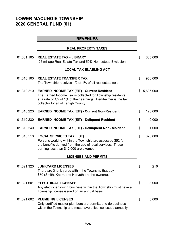# **LOWER MACUNGIE TOWNSHIP 2020 GENERAL FUND (01)**

|            | <b>REVENUES</b>                                                                                                                                                                                                          |                 |
|------------|--------------------------------------------------------------------------------------------------------------------------------------------------------------------------------------------------------------------------|-----------------|
|            | <b>REAL PROPERTY TAXES</b>                                                                                                                                                                                               |                 |
| 01.301.105 | <b>REAL ESTATE TAX - LIBRARY</b><br>.25 millage Real Estate Tax and 50% Homestead Exclusion.                                                                                                                             | \$<br>605,000   |
|            | <b>LOCAL TAX ENABLING ACT</b>                                                                                                                                                                                            |                 |
| 01.310.100 | <b>REAL ESTATE TRANSFER TAX</b><br>The Township receives 1/2 of 1% of all real estate sold.                                                                                                                              | \$<br>950,000   |
| 01.310.210 | <b>EARNED INCOME TAX (EIT) - Current Resident</b><br>The Earned Income Tax is collected for Township residents<br>at a rate of 1/2 of 1% of their earnings. Berkheimer is the tax<br>collector for all of Lehigh County. | \$<br>5,635,000 |
| 01.310.220 | <b>EARNED INCOME TAX (EIT) - Current Non-Resident</b>                                                                                                                                                                    | \$<br>125,000   |
| 01.310.230 | <b>EARNED INCOME TAX (EIT) - Deliquent Resident</b>                                                                                                                                                                      | \$<br>140,000   |
| 01.310.240 | <b>EARNED INCOME TAX (EIT) - Delinquent Non-Resident</b>                                                                                                                                                                 | \$<br>1,000     |
| 01.310.510 | <b>LOCAL SERVICES TAX (LST)</b><br>Persons working within the Township are assessed \$52 for<br>the benefits derived from the use of local services. Those<br>earning less than \$12,000 are exempt.                     | \$<br>625,000   |
|            | <b>LICENSES AND PERMITS</b>                                                                                                                                                                                              |                 |
| 01.321.320 | <b>JUNKYARD LICENSES</b><br>There are 3 junk yards within the Township that pay<br>\$70 (Smith, Knerr, and Horvath are the owners).                                                                                      | \$<br>210       |
| 01.321.601 | <b>ELECTRICAL LICENSES</b><br>Any electrician doing business within the Township must have a<br>Township license issued on an annual basis.                                                                              | \$<br>8,000     |
| 01.321.602 | <b>PLUMBING LICENSES</b><br>Only certified master plumbers are permitted to do business<br>within the Township and must have a license issued annually.                                                                  | \$<br>5,000     |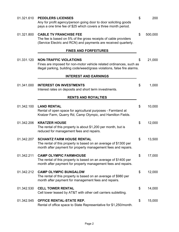| 01.321.610 | <b>PEDDLERS LICENSES</b><br>Any for profit agency/person going door to door soliciting goods<br>pays a one time fee of \$25 which covers a three month period.                   | \$<br>200     |
|------------|----------------------------------------------------------------------------------------------------------------------------------------------------------------------------------|---------------|
| 01.321.800 | <b>CABLE TV FRANCHISE FEE</b><br>The fee is based on 5% of the gross receipts of cable providers<br>(Service Electric and RCN) and payments are received quarterly.              | \$<br>500,000 |
|            | <b>FINES AND FORFEITURES</b>                                                                                                                                                     |               |
| 01.331.120 | <b>NON-TRAFFIC VIOLATIONS</b><br>Fines are imposed for non-motor vehicle related ordinances, such as<br>illegal parking, building code/weed/grass violations, false fire alarms. | \$<br>21,000  |
|            | <b>INTEREST AND EARNINGS</b>                                                                                                                                                     |               |
| 01.341.000 | <b>INTEREST ON INVESTMENTS</b><br>Interest rates on deposits and short term investments.                                                                                         | \$<br>1,000   |
|            | <b>RENTS AND ROYALTIES</b>                                                                                                                                                       |               |
| 01.342.100 | <b>LAND RENTAL</b><br>Rental of open space for agricultural purposes - Farmland at<br>Kratzer Farm, Quarry Rd, Camp Olympic, and Hamilton Fields.                                | \$<br>10,000  |
| 01.342.206 | <b>KRATZER HOUSE</b><br>The rental of this property is about \$1,200 per month, but is<br>reduced for management fees and repairs.                                               | \$<br>12,000  |
| 01.342.207 | <b>SCHANTZ FARM HOUSE RENTAL</b><br>The rental of this property is based on an average of \$1300 per<br>month after payment for property management fees and repairs.            | \$<br>13,500  |
| 01.342.211 | <b>CAMP OLYMPIC FARMHOUSE</b><br>The rental of this property is based on an average of \$1400 per<br>month after payment for property management fees and repairs.               | \$<br>17,000  |
| 01.342.212 | <b>CAMP OLYMPIC BUNGALOW</b><br>The rental of this property is based on an average of \$980 per<br>month after payment for management fees and repairs.                          | \$<br>12,000  |
| 01.342.530 | <b>CELL TOWER RENTAL</b><br>Cell tower leased by AT&T with other cell carriers subletting.                                                                                       | \$<br>14,000  |
| 01.342.545 | OFFICE RENTAL-STATE REP.<br>Rental of office space to State Representative for \$1,250/month.                                                                                    | \$<br>15,000  |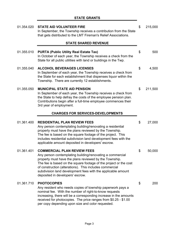| 01.354.020 | <b>STATE AID VOLUNTEER FIRE</b><br>In September, the Township receives a contribution from the State<br>that gets distributed to the LMT Fireman's Relief Associations.                                                                                                                                                                                                                       | \$<br>215,000 |
|------------|-----------------------------------------------------------------------------------------------------------------------------------------------------------------------------------------------------------------------------------------------------------------------------------------------------------------------------------------------------------------------------------------------|---------------|
|            | <b>STATE SHARED REVENUE</b>                                                                                                                                                                                                                                                                                                                                                                   |               |
| 01.355.010 | <b>PURTA (Public Utility Real Estate Tax)</b><br>In October of each year, the Township receives a check from the<br>State for all public utilities with land or buildings in the Twp.                                                                                                                                                                                                         | \$<br>500     |
| 01.355.040 | <b>ALCOHOL BEVERAGES LICENSES</b><br>In September of each year, the Township receives a check from<br>the State for each establishment that dispenses liquor within the<br>Township. There are currently 12 establishments.                                                                                                                                                                   | \$<br>4,500   |
| 01.355.050 | <b>MUNICIPAL STATE AID PENSION</b><br>In September of each year, the Township receives a check from<br>the State to help defray the costs of the employee pension plan.<br>Contributions begin after a full-time employee commences their<br>3rd year of employment.                                                                                                                          | \$<br>211,500 |
|            | <b>CHARGES FOR SERVICES-DEVELOPMENTS</b>                                                                                                                                                                                                                                                                                                                                                      |               |
| 01.361.400 | <b>RESIDENTIAL PLAN REVIEW FEES</b><br>Any person contemplating building/renovating a residential<br>property must have the plans reviewed by the Township.<br>The fee is based on the square footage of the project. This<br>includes residential subdivision land development fees with the<br>applicable amount deposited in developers' escrow.                                           | \$<br>27,000  |
| 01.361.401 | <b>COMMERCIAL PLAN REVIEW FEES</b><br>Any person contemplating building/renovating a commercial<br>property must have the plans reviewed by the Township.<br>The fee is based on the square footage of the project or the cost<br>of construction (alterations). This includes commercial<br>subdivision land development fees with the applicable amount<br>deposited in developers' escrow. | \$<br>50,000  |
| 01.361.710 | <b>PHOTOCOPIES</b><br>Any resident who needs copies of township paperwork pays a<br>nominal fee. With the number of right-to-know requests<br>increasing, there will be a corresponding increase in the amounts<br>received for photocopies. The price ranges from \$0.25 - \$1.00<br>per copy depending upon size and color requested.                                                       | \$<br>200     |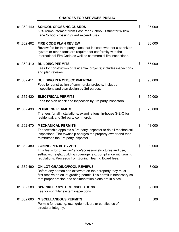#### **CHARGES FOR SERVICES-PUBLIC**

÷.

| 01.362.140 | <b>SCHOOL CROSSING GUARDS</b><br>50% reimbursement from East Penn School District for Willow<br>Lane School crossing guard expenditures.                                                                                             | \$<br>35,000 |
|------------|--------------------------------------------------------------------------------------------------------------------------------------------------------------------------------------------------------------------------------------|--------------|
| 01.362.402 | <b>FIRE CODE PLAN REVIEW</b><br>Review fee for third party plans that indicate whether a sprinkler<br>system or other items are required for conformity with the<br>International Fire Code as well as commercial fire inspections.  | \$<br>30,000 |
| 01.362.410 | <b>BUILDING PERMITS</b><br>Fees for construction of residential projects; includes inspections<br>and plan reviews.                                                                                                                  | \$<br>65,000 |
| 01.362.411 | <b>BUILDING PERMITS/COMMERCIAL</b><br>Fees for construction of commercial projects; includes<br>inspections and plan design by 3rd parties.                                                                                          | \$<br>95,000 |
| 01.362.420 | <b>ELECTRICAL PERMITS</b><br>Fees for plan check and inspection by 3rd party inspectors.                                                                                                                                             | \$<br>50,000 |
| 01.362.430 | <b>PLUMBING PERMITS</b><br>The fees for all installations, examinations, in-house S-E-O for<br>residential, and 3rd party commercial.                                                                                                | \$<br>20,000 |
| 01.362.470 | <b>MECHANICAL PERMITS</b><br>The township appoints a 3rd party inspector to do all mechanical<br>inspections. The township charges the property owner and then<br>reimburses the 3rd party inspector.                                | \$<br>13,000 |
| 01.362.480 | <b>ZONING PERMITS / ZHB</b><br>This fee is for driveway/fence/accessory structures and use,<br>setbacks, height, building coverage, etc. compliance with zoning<br>regulations. Proceeds from Zoning Hearing Board fees.             | \$<br>9,000  |
| 01.362.490 | <b>ON LOT GRADING/POOL REVIEWS</b><br>Before any person can excavate on their property they must<br>first receive an on lot grading permit. This permit is necessary so<br>that proper erosion and sedimentation plans are in place. | \$<br>7,000  |
| 01.362.580 | <b>SPRINKLER SYSTEM INSPECTIONS</b><br>Fee for sprinkler system inspections.                                                                                                                                                         | \$<br>2,500  |
| 01.362.600 | <b>MISCELLANEOUS PERMITS</b><br>Permits for blasting, razing/demolition, or certificates of<br>structural integrity.                                                                                                                 | \$<br>500    |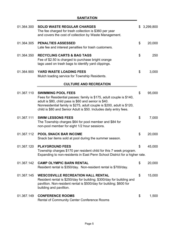÷,

| 01.364.300 | <b>SOLID WASTE REGULAR CHARGES</b><br>The fee charged for trash collection is \$360 per year<br>and covers the cost of collection by Waste Management.                                                                                                                                                     | \$<br>3,299,800 |
|------------|------------------------------------------------------------------------------------------------------------------------------------------------------------------------------------------------------------------------------------------------------------------------------------------------------------|-----------------|
| 01.364.305 | <b>PENALTIES ASSESSED</b><br>Late fee and interest penalties for trash customers.                                                                                                                                                                                                                          | \$<br>20,000    |
| 01.364.350 | <b>RECYCLING CARTS &amp; BAG TAGS</b><br>Fee of \$2.50 is charged to purchase bright orange<br>tags used on trash bags to identify yard clippings.                                                                                                                                                         | \$<br>250       |
| 01.364.900 | YARD WASTE LOADING FEES<br>Mulch loading service for Township Residents.                                                                                                                                                                                                                                   | \$<br>3,000     |
|            | <b>CULTURE AND RECREATION</b>                                                                                                                                                                                                                                                                              |                 |
| 01.367.110 | <b>SWIMMING POOL FEES</b><br>Fees for Residential passes: family is \$175, adult couple is \$140,<br>adult is \$80, child pass is \$60 and senior is \$40.<br>Nonresidential family is \$275, adult couple is \$200, adult is \$120,<br>child is \$80 and Senior Adult is \$50. Includes daily entry fees. | \$<br>95,000    |
| 01.367.111 | <b>SWIM LESSONS FEES</b><br>The Township charges \$64 for pool member and \$84 for<br>non-pool member for eight 1/2 hour sessions.                                                                                                                                                                         | \$<br>7,000     |
| 01.367.112 | <b>POOL SNACK BAR INCOME</b><br>Snack bar items sold at pool during the summer season.                                                                                                                                                                                                                     | \$<br>20,000    |
| 01.367.120 | <b>PLAYGROUND FEES</b><br>Township charges \$170 per resident child for this 7 week program.<br>Expanding to non-residents in East Penn School District for a higher rate.                                                                                                                                 | \$<br>45,000    |
| 01.367.142 | <b>CAMP OLYMPIC BARN RENTAL</b><br>Resident rental is \$350/day. Non-resident rental is \$700/day.                                                                                                                                                                                                         | \$<br>20,000    |
| 01.367.145 | <b>WESCOSVILLE RECREATION HALL RENTAL</b><br>Resident rental is \$250/day for building; \$300/day for building and<br>pavillion. Non-resident rental is \$500/day for building; \$600 for<br>building and pavillion.                                                                                       | \$<br>15,000    |
| 01.367.149 | <b>CONFERENCE ROOMS</b><br>Rental of Community Center Conference Rooms                                                                                                                                                                                                                                     | \$<br>1,500     |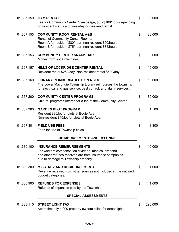| 01.367.150 | <b>GYM RENTAL</b><br>Fee for Community Center Gym usage, \$60-\$100/hour depending<br>on resident status and weekday or weekend rental.                                                              | \$<br>35,000  |
|------------|------------------------------------------------------------------------------------------------------------------------------------------------------------------------------------------------------|---------------|
| 01.367.153 | <b>COMMUNITY ROOM RENTAL A&amp;B</b><br><b>Rental of Community Center Rooms:</b><br>Room A for resident \$80/hour, non-resident \$90/hour.<br>Room B for resident \$75/hour, non-resident \$85/hour. | \$<br>30,000  |
| 01.367.156 | <b>COMMUNITY CENTER SNACK BAR</b><br>Money from soda machines.                                                                                                                                       | \$<br>600     |
| 01.367.157 | HILLS OF LOCKRIDGE CENTER RENTAL<br>Resident rental \$250/day. Non-resident rental \$500/day.                                                                                                        | \$<br>15,000  |
| 01.367.160 | <b>LIBRARY REIMBURSABLE EXPENSES</b><br>The Lower Macungie Township Library reimburses the township<br>for electrical and gas service, pest control, and alarm services.                             | \$<br>16,000  |
| 01.367.200 | <b>COMMUNITY CENTER PROGRAMS</b><br>Cultural programs offered for a fee at the Community Center.                                                                                                     | \$<br>80,000  |
| 01.367.300 | <b>GARDEN PLOT PROGRAM</b><br>Resident \$30/lot for plots at Bogie Ave.<br>Non-resident \$40/lot for plots at Bogie Ave.                                                                             | \$<br>1,500   |
| 01.367.301 | <b>FIELD USE FEES</b><br>Fees for use of Township fields.                                                                                                                                            | \$<br>3,300   |
|            | <b>REIMBURSEMENTS AND REFUNDS</b>                                                                                                                                                                    |               |
| 01.380.100 | <b>INSURANCE REIMBURSEMENTS</b><br>For workers compensation dividend, medical dividend,<br>and other refunds received are from insurance companies<br>due to damage to Township property.            | \$<br>10,000  |
| 01.380.300 | <b>MISC. REV AND REIMBURSEMENTS</b><br>Revenue received from other sources not included in the outlined<br>budget categories.                                                                        | \$<br>1,000   |
| 01.380.900 | <b>REFUNDS FOR EXPENSES</b><br>Refunds of expenses paid by the Township.                                                                                                                             | \$<br>1,000   |
|            | <b>SPECIAL ASSESSMENTS</b>                                                                                                                                                                           |               |
| 01.383.110 | <b>STREET LIGHT TAX</b><br>Approximately 4,000 property owners billed for street lights.                                                                                                             | \$<br>290,000 |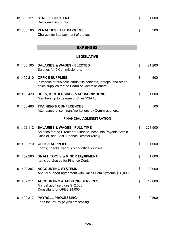| 01.383.111 | <b>STREET LIGHT TAX</b><br>Delinquent accounts.                                                                                                         | \$<br>1,000   |
|------------|---------------------------------------------------------------------------------------------------------------------------------------------------------|---------------|
| 01.383.500 | PENALTIES LATE PAYMENT<br>Charges for late payment of the tax.                                                                                          | \$<br>300     |
|            | <b>EXPENSES</b>                                                                                                                                         |               |
|            | <b>LEGISLATIVE</b>                                                                                                                                      |               |
| 01.400.105 | <b>SALARIES &amp; WAGES - ELECTED</b><br>Salaries for 5 Commissioners.                                                                                  | \$<br>21,200  |
| 01.400.210 | <b>OFFICE SUPPLIES</b><br>Purchase of business cards, file cabinets, laptops, and other<br>office supplies for the Board of Commissioners.              | \$<br>500     |
| 01.400.420 | <b>DUES, MEMBERSHIPS &amp; SUBSCRIPTIONS</b><br>Membership to League of Cities/PSATS.                                                                   | \$<br>1,000   |
| 01.400.460 | <b>TRAINING &amp; CONFERENCES</b><br>Attendance at seminars/workshops by Commissioners.                                                                 | \$<br>500     |
|            | <b>FINANCIAL ADMINISTRATION</b>                                                                                                                         |               |
| 01.402.112 | <b>SALARIES &amp; WAGES - FULL TIME</b><br>Salaries for the Director of Finance, Accounts Payable Admin.,<br>Cashier, and Asst. Finance Director (50%). | \$<br>228,500 |
| 01.402.210 | <b>OFFICE SUPPLIES</b><br>Forms, checks, various other office supplies.                                                                                 | \$<br>1,000   |
| 01.402.260 | <b>SMALL TOOLS &amp; MINOR EQUIPMENT</b><br>Items purchased for Finance Dept.                                                                           | \$<br>1,000   |
| 01.402.307 | <b>ACCOUNTING SYSTEMS</b><br>Annual support agreement with Dallas Data Systems \$26,000.                                                                | \$<br>28,000  |
| 01.402.311 | <b>ACCOUNTING &amp; AUDITING SERVICES</b><br>Annual audit services \$12,000.<br>Consultant for OPEB \$4,000.                                            | \$<br>17,000  |
| 01.402.317 | <b>PAYROLL PROCESSING</b><br>Fees for JetPay payroll processing.                                                                                        | \$<br>9,500   |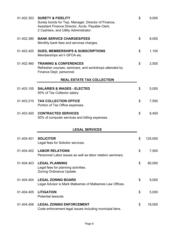| 01.402.353 | <b>SURETY &amp; FIDELITY</b><br>Surety bonds for Twp. Manager, Director of Finance,<br>Assistant Finance Director, Accts. Payable Clerk,<br>2 Cashiers, and Utility Administrator. | \$<br>9,000   |
|------------|------------------------------------------------------------------------------------------------------------------------------------------------------------------------------------|---------------|
| 01.402.390 | <b>BANK SERVICE CHARGES/FEES</b><br>Monthly bank fees and services charges.                                                                                                        | \$<br>8,000   |
| 01.402.420 | <b>DUES, MEMBERSHIPS &amp; SUBSCRIPTIONS</b><br>Memberships wit h GFOA etc.                                                                                                        | \$<br>1,100   |
| 01.402.460 | <b>TRAINING &amp; CONFERENCES</b><br>Refresher courses, seminars, and workshops attended by<br>Finance Dept. personnel.                                                            | \$<br>2,500   |
|            | <b>REAL ESTATE TAX COLLECTION</b>                                                                                                                                                  |               |
| 01.403.105 | <b>SALARIES &amp; WAGES - ELECTED</b><br>50% of Tax Collector salary.                                                                                                              | \$<br>5,000   |
| 01.403.210 | <b>TAX COLLECTION OFFICE</b><br>Portion of Tax Office expenses.                                                                                                                    | \$<br>7,550   |
| 01.403.450 | <b>CONTRACTED SERVICES</b><br>50% of computer services and billing expenses.                                                                                                       | \$<br>8,450   |
|            | <b>LEGAL SERVICES</b>                                                                                                                                                              |               |
| 01.404.401 | <b>SOLICITOR</b><br>Legal fees for Solicitor services.                                                                                                                             | \$<br>125,000 |
| 01.404.402 | <b>LABOR RELATIONS</b><br>Personnel Labor issues as well as labor relation seminars.                                                                                               | \$<br>7,500   |
| 01.404.403 | <b>LEGAL PLANNING</b><br>Legal fees for planning activities.<br>Zoning Ordinance Update.                                                                                           | \$<br>80,000  |
| 01.404.404 | <b>LEGAL ZONING BOARD</b><br>Legal Advisor is Mark Malkames of Malkames Law Offices.                                                                                               | \$<br>9,000   |
| 01.404.405 | <b>LITIGATION</b><br>Potential lawsuits.                                                                                                                                           | \$<br>5,000   |
| 01.404.406 | <b>LEGAL ZONING ENFORCEMENT</b><br>Code enforcement legal issues including municipal liens.                                                                                        | \$<br>18,000  |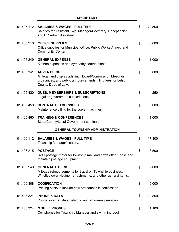J,

| 01.405.112 | <b>SALARIES &amp; WAGES - FULLTIME</b><br>Salaries for Assistant Twp. Manager/Secretary, Receptionist,<br>and HR Admin Assistant.                                         | \$<br>170,500 |
|------------|---------------------------------------------------------------------------------------------------------------------------------------------------------------------------|---------------|
| 01.405.210 | <b>OFFICE SUPPLIES</b><br>Office supplies for Municipal Office, Public Works Annex, and<br><b>Community Center.</b>                                                       | \$<br>8,000   |
| 01.405.249 | <b>GENERAL EXPENSE</b><br>Kitchen expenses and sympathy contributions.                                                                                                    | \$<br>1,000   |
| 01.405.341 | <b>ADVERTISING</b><br>All legal and display ads, incl. Board/Commission Meetings,<br>ordinances, and public announcements; filing fees for Lehigh<br>County Dept. of Law. | \$<br>8,000   |
| 01.405.420 | <b>DUES, MEMBERSHIPS &amp; SUBSCRIPTIONS</b><br>Legal or government subscriptions.                                                                                        | \$<br>250     |
| 01.405.450 | <b>CONTRACTED SERVICES</b><br>Maintenance billing for the copier machines.                                                                                                | \$<br>8,000   |
| 01.405.460 | <b>TRAINING &amp; CONFERENCES</b><br>State/County/Local Government seminars.                                                                                              | \$<br>1,000   |
|            | <b>GENERAL TOWNSHIP ADMINISTRATION</b>                                                                                                                                    |               |
| 01.406.112 | <b>SALARIES &amp; WAGES - FULL TIME</b><br>Township Manager's salary.                                                                                                     | \$<br>117,300 |
| 01.406.215 | <b>POSTAGE</b><br>Refill postage meter for township mail and newsletter. Lease and<br>maintain postage equipment.                                                         | \$<br>13,500  |
| 01.406.249 | <b>GENERAL EXPENSE</b><br>Mileage reimbursements for travel on Township business,<br>Whistleblower Hotline, refreshments, and other general items.                        | \$<br>7,000   |
| 01.406.308 | <b>CODIFICATION</b><br>Printing costs to include new ordinances in codification.                                                                                          | \$<br>5,000   |
| 01.406.321 | <b>PHONE &amp; DATA</b><br>Phone, internet, data network, and answering services.                                                                                         | \$<br>28,500  |
| 01.406.324 | <b>MOBILE PHONES</b><br>Cell phones for Township Manager and swimming pool.                                                                                               | \$<br>1,100   |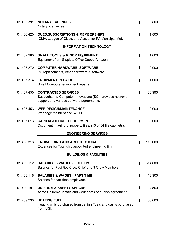| 01.406.391 | <b>NOTARY EXPENSES</b><br>Notary license fee.                                                                                     | \$<br>800     |
|------------|-----------------------------------------------------------------------------------------------------------------------------------|---------------|
| 01.406.420 | <b>DUES, SUBSCRIPTIONS &amp; MEMBERSHIPS</b><br>ICMA, League of Cities, and Assoc. for PA Municipal Mgt.                          | \$<br>1,800   |
|            | <b>INFORMATION TECHNOLOGY</b>                                                                                                     |               |
| 01.407.260 | <b>SMALL TOOLS &amp; MINOR EQUIPMENT</b><br>Equipment from Staples, Office Depot, Amazon.                                         | \$<br>1,000   |
| 01.407.270 | <b>COMPUTER HARDWARE, SOFTWARE</b><br>PC replacements, other hardware & software.                                                 | \$<br>19,900  |
| 01.407.374 | <b>EQUIPMENT REPAIRS</b><br>Small Computer equipment repairs.                                                                     | \$<br>1,000   |
| 01.407.450 | <b>CONTRACTED SERVICES</b><br>Susquehanna Computer Innovations (SCI) provides network<br>support and various software agreements. | \$<br>80,990  |
| 01.407.453 | <b>WEB DESIGN/MAINTENANCE</b><br>Webpage maintenance \$2,000.                                                                     | \$<br>2,000   |
| 01.407.613 | <b>CAPITAL-OFFICE/IT EQUIPMENT</b><br>Document imaging of property files. (10 of 34 file cabinets).                               | \$<br>30,000  |
|            | <b>ENGINEERING SERVICES</b>                                                                                                       |               |
| 01.408.313 | <b>ENGINEERING AND ARCHITECTURAL</b><br>Expenses for Township appointed engineering firm.                                         | \$<br>110,000 |
|            | <b>BUILDINGS &amp; FACILITIES</b>                                                                                                 |               |
| 01.409.112 | <b>SALARIES &amp; WAGES - FULL TIME</b><br>Salaries for Facilities Crew Chief and 3 Crew Members.                                 | \$<br>314,800 |
| 01.409.115 | <b>SALARIES &amp; WAGES - PART TIME</b><br>Salaries for part-time employees.                                                      | \$<br>19,300  |
| 01.409.191 | <b>UNIFORM &amp; SAFETY APPAREL</b><br>Acme Uniforms rentals and work boots per union agreement.                                  | \$<br>4,500   |
| 01.409.230 | <b>HEATING FUEL</b><br>Heating oil is purchased from Lehigh Fuels and gas is purchased<br>from UGI.                               | \$<br>53,000  |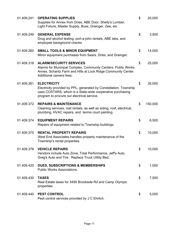| 01.409.241 | <b>OPERATING SUPPLIES</b><br>Supplies for Annex from Dries, ABE Door, Shelly's Lumber,<br>Light Fixture, Master Supply, Buss, Grainger, Zee, etc.                                                   | \$<br>20,000  |
|------------|-----------------------------------------------------------------------------------------------------------------------------------------------------------------------------------------------------|---------------|
| 01.409.249 | <b>GENERAL EXPENSE</b><br>Drug and alcohol testing, port-a-john rentals, ABE labs, and<br>employee background checks.                                                                               | \$<br>3,500   |
| 01.409.260 | <b>SMALL TOOLS &amp; MINOR EQUIPMENT</b><br>Minor equipment purchases from Sears, Dries, and Grainger.                                                                                              | \$<br>14,000  |
| 01.409.318 | <b>ALARM/SECURITY SERVICES</b><br>Alarms for Municipal Complex, Community Centers, Public Works<br>Annex, Schantz Farm and Hills at Lock Ridge Community Center.<br>Additional camera fees.         | \$<br>25,000  |
| 01.409.361 | <b>ELECTRICITY</b><br>Electricity provided by PPL, generated by Constellation. Township<br>uses COSTARS, which is a State-wide cooperative purchasing<br>program to procure our electrical service. | \$<br>35,000  |
| 01.409.372 | <b>REPAIRS &amp; MAINTENANCE</b><br>Cleaning services, mat rentals, as well as siding, roof, electrical,<br>plumbing, HVAC repairs, and tennis court painting.                                      | \$<br>150,000 |
| 01.409.374 | <b>EQUIPMENT REPAIRS</b><br>Repairs of equipment related to Township buildings.                                                                                                                     | \$<br>6,500   |
| 01.409.375 | <b>RENTAL PROPERTY REPAIRS</b><br>West End Associates handles property maintenance of the<br>Township's rental properties.                                                                          | \$<br>10,000  |
| 01.409.378 | <b>VEHICLE REPAIRS</b><br>Vendors include Auto Zone, Total Performance, Jeff's Auto,<br>Greg's Auto and Tire. Replace Truck Utility Bed.                                                            | \$<br>10,000  |
| 01.409.420 | <b>DUES, SUBSCRIPTIONS &amp; MEMBERSHIPS</b><br><b>Public Works Associations.</b>                                                                                                                   | \$<br>1,000   |
| 01.409.430 | <b>TAXES</b><br>Real Estate taxes for 3450 Brookside Rd and Camp Olympic<br>properties.                                                                                                             | \$<br>7,500   |
| 01.409.440 | <b>PEST CONTROL</b><br>Pest control services provided by J C Ehrlich.                                                                                                                               | \$<br>5,000   |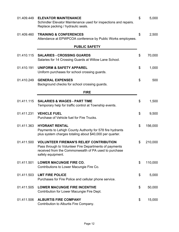| 01.409.449 | <b>ELEVATOR MAINTENANCE</b><br>Schindler Elevator Maintenance used for inspections and repairs.<br>Replace packing / hydraulic seals.                                                  | \$<br>5,000   |
|------------|----------------------------------------------------------------------------------------------------------------------------------------------------------------------------------------|---------------|
| 01.409.460 | <b>TRAINING &amp; CONFERENCES</b><br>Attendance at EPWPCOA conference by Public Works employees.                                                                                       | \$<br>2,500   |
|            | <b>PUBLIC SAFETY</b>                                                                                                                                                                   |               |
| 01.410.115 | <b>SALARIES - CROSSING GUARDS</b><br>Salaries for 14 Crossing Guards at Willow Lane School.                                                                                            | \$<br>70,000  |
| 01.410.191 | <b>UNIFORM &amp; SAFETY APPAREL</b><br>Uniform purchases for school crossing guards.                                                                                                   | \$<br>1,000   |
| 01.410.249 | <b>GENERAL EXPENSES</b><br>Background checks for school crossing guards.                                                                                                               | \$<br>500     |
|            | <b>FIRE</b>                                                                                                                                                                            |               |
| 01.411.115 | <b>SALARIES &amp; WAGES - PART TIME</b><br>Temporary help for traffic control at Township events.                                                                                      | \$<br>1,500   |
| 01.411.231 | <b>VEHICLE FUEL</b><br>Purchase of Vehicle fuel for Fire Trucks.                                                                                                                       | \$<br>9,500   |
| 01.411.363 | <b>HYDRANT RENTAL</b><br>Payments to Lehigh County Authority for 578 fire hydrants<br>plus system charges totaling about \$40,000 per quarter.                                         | \$<br>156,000 |
| 01.411.500 | <b>VOLUNTEER FIREMAN'S RELIEF CONTRIBUTION</b><br>Pass through to Volunteer Fire Departments of payments<br>received from the Commonwealth of PA used to purchase<br>safety equipment. | \$<br>210,000 |
| 01.411.501 | <b>LOWER MACUNGIE FIRE CO.</b><br>Contributions to Lower Macungie Fire Co.                                                                                                             | \$<br>110,000 |
| 01.411.503 | <b>LMT FIRE POLICE</b><br>Purchases for Fire Police and cellular phone service.                                                                                                        | \$<br>5,000   |
| 01.411.505 | <b>LOWER MACUNGIE FIRE INCENTIVE</b><br>Contribution for Lower Macungie Fire Dept.                                                                                                     | \$<br>50,000  |
| 01.411.506 | <b>ALBURTIS FIRE COMPANY</b><br>Contribution to Alburtis Fire Company.                                                                                                                 | \$<br>15,000  |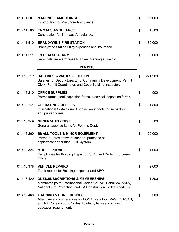| 01.411.507 | <b>MACUNGIE AMBULANCE</b><br>Contribution for Macungie Ambulance.                                                                                                                  | \$<br>35,000  |
|------------|------------------------------------------------------------------------------------------------------------------------------------------------------------------------------------|---------------|
| 01.411.508 | <b>EMMAUS AMBULANCE</b><br><b>Contribution for Emmaus Ambulance.</b>                                                                                                               | \$<br>1,500   |
| 01.411.510 | <b>BRANDYWINE FIRE STATION</b><br>Brandywine Station utility expenses and insurance.                                                                                               | \$<br>30,000  |
| 01.411.511 | <b>LMT FALSE ALARM</b><br>Remit fals fire alarm fines to Lower Macungie Fire Co.                                                                                                   | \$<br>3,600   |
|            | <b>PERMITS</b>                                                                                                                                                                     |               |
| 01.413.112 | <b>SALARIES &amp; WAGES - FULL TIME</b><br>Salaries for Deputy Director of Community Development, Permit<br>Clerk, Permit Coordinator, and Code/Building Inspector.                | \$<br>221,300 |
| 01.413.210 | <b>OFFICE SUPPLIES</b><br>Permit forms, pool inspection forms, electrical inspection forms.                                                                                        | \$<br>500     |
| 01.413.241 | <b>OPERATING SUPPLIES</b><br>International Code Council books, work boots for inspectors,<br>and printed forms.                                                                    | \$<br>1,500   |
| 01.413.249 | <b>GENERAL EXPENSE</b><br>General expense items for Permits Dept.                                                                                                                  | \$<br>500     |
| 01.413.260 | <b>SMALL TOOLS &amp; MINOR EQUIPMENT</b><br>Permit-n-Force software support, purchase of<br>copier/scanner/printer . GIS system.                                                   | \$<br>20,000  |
| 01.413.324 | <b>MOBILE PHONES</b><br>Cell phones for Building Inspector, SEO, and Code Enforcement<br>Officer.                                                                                  | \$<br>1,600   |
| 01.413.378 | <b>VEHICLE REPAIRS</b><br>Truck repairs for Building Inspector and SEO.                                                                                                            | \$<br>2,000   |
| 01.413.420 | <b>DUES, SUBSCRIPTIONS &amp; MEMBERSHIPS</b><br>Memberships for International Codes Council, PennBoc, ASLA,<br>National Fire Protection, and PA Construction Codes Academy.        | \$<br>1,300   |
| 01.413.460 | <b>TRAINING &amp; CONFERENCES</b><br>Attendance at conferences for BOCA, PennBoc, PASEO, PSAB,<br>and PA Constructions Codes Academy to meet continuing<br>education requirements. | \$<br>5,300   |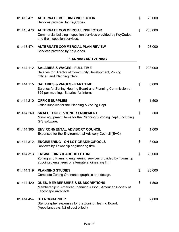| 01.413.471 | <b>ALTERNATE BUILDING INSPECTOR</b><br>Services provided by KeyCodes.                                                                                        | \$<br>20,000  |
|------------|--------------------------------------------------------------------------------------------------------------------------------------------------------------|---------------|
| 01.413.473 | <b>ALTERNATE COMMERCIAL INSPECTOR</b><br>Commercial building inspection services provided by KeyCodes<br>and fire inspection services.                       | \$<br>200,000 |
| 01.413.474 | <b>ALTERNATE COMMERCIAL PLAN REVIEW</b><br>Services provided by KeyCodes.                                                                                    | \$<br>28,000  |
|            | <b>PLANNING AND ZONING</b>                                                                                                                                   |               |
| 01.414.112 | <b>SALARIES &amp; WAGES - FULL TIME</b><br>Salaries for Director of Community Development, Zoning<br>Officer, and Planning Clerk.                            | \$<br>203,900 |
| 01.414.115 | <b>SALARIES &amp; WAGES - PART TIME</b><br>Salaries for Zoning Hearing Board and Planning Commission at<br>\$25 per meeting. Salaries for Interns.           | \$<br>8,000   |
| 01.414.210 | <b>OFFICE SUPPLIES</b><br>Office supplies for the Planning & Zoning Dept.                                                                                    | \$<br>1,500   |
| 01.414.260 | <b>SMALL TOOLS &amp; MINOR EQUIPMENT</b><br>Minor equipment items for the Planning & Zoning Dept., including<br>GIS software.                                | \$<br>500     |
| 01.414.305 | <b>ENVIRONMENTAL ADVISORY COUNCIL</b><br>Expenses for the Environmental Advisory Council (EAC).                                                              | \$<br>1,000   |
| 01.414.312 | <b>ENGINEERING - ON LOT GRADING/POOLS</b><br>Reviews by Township engineering firm.                                                                           | \$<br>8,000   |
| 01.414.313 | <b>ENGINEERING &amp; ARCHITECTURE</b><br>Zoning and Planning engineering services provided by Township<br>appointed engineers or alternate engineering firm. | \$<br>20,000  |
| 01.414.319 | <b>PLANNING STUDIES</b><br>Complete Zoning Ordinance graphics and design.                                                                                    | \$<br>25,000  |
| 01.414.420 | <b>DUES, MEMBERSHIPS &amp; SUBSCRIPTIONS</b><br>Membership in American Planning Assoc., American Society of<br>Landscape Architects.                         | \$<br>1,500   |
| 01.414.454 | <b>STENOGRAPHER</b><br>Stenographer expenses for the Zoning Hearing Board.<br>(Appellant pays 1/2 of cost billed.)                                           | \$<br>2,000   |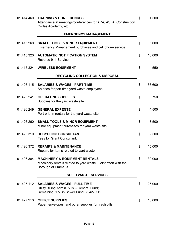| 01.414.460 | <b>TRAINING &amp; CONFERENCES</b><br>Attendance at meetings/conferences for APA, ASLA, Construction<br>Codes Academy, etc.       | \$<br>1,500  |
|------------|----------------------------------------------------------------------------------------------------------------------------------|--------------|
|            | <b>EMERGENCY MANAGEMENT</b>                                                                                                      |              |
| 01.415.260 | <b>SMALL TOOLS &amp; MINOR EQUIPMENT</b><br>Emergency Management purchases and cell phone service.                               | \$<br>5,000  |
| 01.415.320 | <b>AUTOMATIC NOTIFICATION SYSTEM</b><br>Reverse 911 Service.                                                                     | \$<br>10,000 |
|            | 01.415.324 WIRELESS EQUIPMENT                                                                                                    | \$<br>550    |
|            | <b>RECYCLING COLLECTION &amp; DISPOSAL</b>                                                                                       |              |
| 01.426.115 | <b>SALARIES &amp; WAGES - PART TIME</b><br>Salaries for part time yard waste employees.                                          | \$<br>36,600 |
| 01.426.241 | <b>OPERATING SUPPLIES</b><br>Supplies for the yard waste site.                                                                   | \$<br>750    |
| 01.426.249 | <b>GENERAL EXPENSE</b><br>Port-o-john rentals for the yard waste site.                                                           | \$<br>4,500  |
| 01.426.260 | <b>SMALL TOOLS &amp; MINOR EQUIPMENT</b><br>Minor equipment purchases for yard waste site.                                       | \$<br>3,500  |
| 01.426.310 | <b>RECYCLING CONSULTANT</b><br>Fees for Grant Consultant.                                                                        | \$<br>2,500  |
| 01.426.372 | <b>REPAIRS &amp; MAINTENANCE</b><br>Repairs for items related to yard waste.                                                     | \$<br>15,000 |
| 01.426.384 | <b>MACHINERY &amp; EQUIPMENT RENTALS</b><br>Machinery rentals related to yard waste. Joint effort with the<br>Borough of Emmaus. | \$<br>30,000 |
|            | <b>SOLID WASTE SERVICES</b>                                                                                                      |              |
| 01.427.112 | <b>SALARIES &amp; WAGES - FULL TIME</b><br>Utility Billing Admin. 50% - General Fund;<br>Remaining 50% in Sewer Fund 08.427.112. | \$<br>25,900 |
| 01.427.210 | <b>OFFICE SUPPLIES</b><br>Paper, envelopes, and other supplies for trash bills.                                                  | \$<br>15,000 |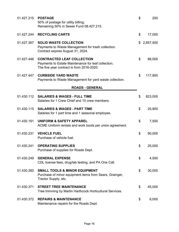| 01.427.215 | <b>POSTAGE</b><br>50% of postage for utility billing;<br>Remaining 50% in Sewer Fund 08.427.215.                                      | \$<br>250       |
|------------|---------------------------------------------------------------------------------------------------------------------------------------|-----------------|
| 01.427.244 | <b>RECYCLING CARTS</b>                                                                                                                | \$<br>17,000    |
| 01.427.367 | <b>SOLID WASTE COLLECTION</b><br>Payments to Waste Management for trash collection.<br>Contract expires August 31, 2024.              | \$<br>2,857,500 |
| 01.427.446 | <b>CONTRACTED LEAF COLLECTION</b><br>Payments to Estate Maintenance for leaf collection.<br>The five year contract is from 2016-2020. | \$<br>88,000    |
| 01.427.447 | <b>CURBSIDE YARD WASTE</b><br>Payments to Waste Management for yard waste collection.                                                 | \$<br>117,900   |
|            | <b>ROADS - GENERAL</b>                                                                                                                |                 |
| 01.430.112 | <b>SALARIES &amp; WAGES - FULL TIME</b><br>Salaries for 1 Crew Chief and 10 crew members.                                             | \$<br>823,000   |
| 01.430.115 | <b>SALARIES &amp; WAGES - PART TIME</b><br>Salaries for 1 part time and 1 seasonal employee.                                          | \$<br>25,900    |
| 01.430.191 | <b>UNIFORM &amp; SAFETY APPAREL</b><br>ACME Uniform rentals and work boots per union agreement.                                       | \$<br>7,500     |
| 01.430.231 | <b>VEHICLE FUEL</b><br>Purchase of vehicle fuel.                                                                                      | \$<br>90,000    |
| 01.430.241 | <b>OPERATING SUPPLIES</b><br>Purchase of supplies for Roads Dept.                                                                     | \$<br>25,000    |
| 01.430.249 | <b>GENERAL EXPENSE</b><br>CDL license fees, drug/lab testing, and PA One Call.                                                        | \$<br>4,500     |
| 01.430.260 | <b>SMALL TOOLS &amp; MINOR EQUIPMENT</b><br>Purchase of minor equipment items from Sears, Grainger,<br>Tractor Supply, etc.           | \$<br>30,000    |
| 01.430.371 | <b>STREET TREE MAINTENANCE</b><br>Tree trimming by Martin Harthcock Horticultural Services.                                           | \$<br>45,000    |
| 01.430.372 | <b>REPAIRS &amp; MAINTENANCE</b><br>Maintenance repairs for the Roads Dept.                                                           | \$<br>6,000     |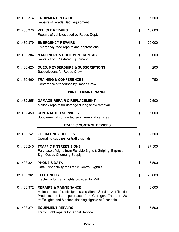| 01.430.374 | <b>EQUIPMENT REPAIRS</b><br>Repairs of Roads Dept. equipment.                                                                                                                                                                  | \$<br>67,500 |
|------------|--------------------------------------------------------------------------------------------------------------------------------------------------------------------------------------------------------------------------------|--------------|
| 01.430.378 | <b>VEHICLE REPAIRS</b><br>Repairs of vehicles used by Roads Dept.                                                                                                                                                              | \$<br>10,000 |
| 01.430.379 | <b>EMERGENCY REPAIRS</b><br>Emergency road repairs and depressions.                                                                                                                                                            | \$<br>20,000 |
| 01.430.384 | <b>MACHINERY &amp; EQUIPMENT RENTALS</b><br>Rentals from Plasterer Equipment.                                                                                                                                                  | \$<br>6,000  |
| 01.430.420 | <b>DUES, MEMBERSHIPS &amp; SUBSCRIPTIONS</b><br>Subscriptions for Roads Crew.                                                                                                                                                  | \$<br>200    |
| 01.430.460 | <b>TRAINING &amp; CONFERENCES</b><br>Conference attendance by Roads Crew.                                                                                                                                                      | \$<br>750    |
|            | <b>WINTER MAINTENANCE</b>                                                                                                                                                                                                      |              |
| 01.432.255 | <b>DAMAGE REPAIR &amp; REPLACEMENT</b><br>Mailbox repairs for damage during snow removal.                                                                                                                                      | \$<br>2,500  |
| 01.432.450 | <b>CONTRACTED SERVICES</b><br>Supplemental contracted snow removal services.                                                                                                                                                   | \$<br>5,000  |
|            | <b>TRAFFIC CONTROL DEVICES</b>                                                                                                                                                                                                 |              |
| 01.433.241 | <b>OPERATING SUPPLIES</b><br>Operating supplies for traffic signals.                                                                                                                                                           | \$<br>2,500  |
| 01.433.245 | <b>TRAFFIC &amp; STREET SIGNS</b><br>Purchase of signs from Reliable Signs & Striping, Express<br>Sign Outlet, Chemung Supply.                                                                                                 | \$<br>27,500 |
| 01.433.321 | <b>PHONE &amp; DATA</b><br>Data Connectivity for Traffic Control Signals.                                                                                                                                                      | \$<br>6,500  |
| 01.433.361 | <b>ELECTRICITY</b><br>Electricity for traffic lights provided by PPL.                                                                                                                                                          | \$<br>26,000 |
| 01.433.372 | <b>REPAIRS &amp; MAINTENANCE</b><br>Maintenance of traffic lights using Signal Service, A-1 Traffic<br>Products, and items purchased from Grainger. There are 28<br>traffic lights and 8 school flashing signals at 3 schools. | \$<br>8,000  |
| 01.433.374 | <b>EQUIPMENT REPAIRS</b><br>Traffic Light repairs by Signal Service.                                                                                                                                                           | \$<br>17,500 |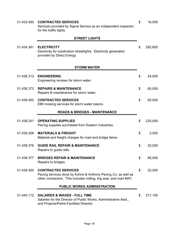| 01.433.450 | <b>CONTRACTED SERVICES</b><br>Services provided by Signal Service as an independent inspector<br>for the traffic lights.                                         | \$<br>16,000  |
|------------|------------------------------------------------------------------------------------------------------------------------------------------------------------------|---------------|
|            | <b>STREET LIGHTS</b>                                                                                                                                             |               |
| 01.434.361 | <b>ELECTRICITY</b><br>Electricity for subdivision streetlights. Electricity generation<br>provided by Direct Energy.                                             | \$<br>292,600 |
|            | <b>STORM WATER</b>                                                                                                                                               |               |
| 01.436.313 | <b>ENGINEERING</b><br>Engineering reviews for storm water.                                                                                                       | \$<br>24,000  |
| 01.436.372 | <b>REPAIRS &amp; MAINTENANCE</b><br>Repairs & maintenance for storm water.                                                                                       | \$<br>60,000  |
| 01.436.450 | <b>CONTRACTED SERVICES</b><br>EMI mowing services for storm water basins.                                                                                        | \$<br>65,000  |
|            | <b>ROADS &amp; BRIDGES - MAINTENANCE</b>                                                                                                                         |               |
| 01.438.241 | <b>OPERATING SUPPLIES</b><br>Paving supplies purchased from Eastern Industries.                                                                                  | \$<br>225,000 |
| 01.438.258 | <b>MATERIALS &amp; FREIGHT</b><br>Material and freight charges for road and bridge items.                                                                        | \$<br>2,000   |
| 01.438.376 | <b>GUIDE RAIL REPAIR &amp; MAINTENANCE</b><br>Repairs to guide rails.                                                                                            | \$<br>25,000  |
| 01.438.377 | <b>BRIDGES REPAIR &amp; MAINTENANCE</b><br>Repairs to bridges.                                                                                                   | \$<br>85,000  |
| 01.438.450 | <b>CONTRACTED SERVICES</b><br>Paving services done by Kuhns & Anthony Paving Co. as well as<br>other contractors. This includes milling, fog seal, and road MAT. | \$<br>25,000  |
|            | <b>PUBLIC WORKS ADMINISTRATION</b>                                                                                                                               |               |
| 01.440.112 | <b>SALARIES &amp; WAGES - FULL TIME</b><br>Salaries for the Director of Public Works, Administrative Asst.,<br>and Projects/Parks-Facilities Director.           | \$<br>217,100 |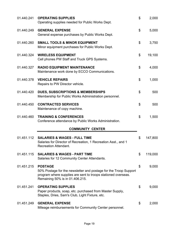| 01.440.241 | <b>OPERATING SUPPLIES</b><br>Operating supplies needed for Public Works Dept.                                                                                                          | \$<br>2,000   |
|------------|----------------------------------------------------------------------------------------------------------------------------------------------------------------------------------------|---------------|
| 01.440.249 | <b>GENERAL EXPENSE</b><br>General expense purchases by Public Works Dept.                                                                                                              | \$<br>5,000   |
| 01.440.260 | <b>SMALL TOOLS &amp; MINOR EQUIPMENT</b><br>Minor equipment purchases for Public Works Dept.                                                                                           | \$<br>3,750   |
| 01.440.324 | <b>WIRELESS EQUIPMENT</b><br>Cell phones PW Staff and Truck GPS Systems.                                                                                                               | \$<br>19,100  |
| 01.440.327 | <b>RADIO EQUIPMENT MAINTENANCE</b><br>Maintenance work done by ECCO Communications.                                                                                                    | \$<br>4,000   |
| 01.440.378 | <b>VEHICLE REPAIRS</b><br>Repairs to PW Director vehicle.                                                                                                                              | \$<br>1,000   |
| 01.440.420 | <b>DUES, SUBSCRIPTIONS &amp; MEMBERSHIPS</b><br>Membership for Public Works Administration personnel.                                                                                  | \$<br>500     |
| 01.440.450 | <b>CONTRACTED SERVICES</b><br>Maintenance of copy machine.                                                                                                                             | \$<br>500     |
| 01.440.460 | <b>TRAINING &amp; CONFERENCES</b><br>Conference attendance by Public Works Administration.                                                                                             | \$<br>1,500   |
|            | <b>COMMUNITY CENTER</b>                                                                                                                                                                |               |
| 01.451.112 | <b>SALARIES &amp; WAGES - FULL TIME</b><br>Salaries for Director of Recreation, 1 Recreation Asst., and 1<br><b>Recreation Attendant.</b>                                              | \$<br>147,800 |
|            | 01.451.115 SALARIES & WAGES - PART TIME<br>Salaries for 12 Community Center Attendants.                                                                                                | \$<br>119,000 |
| 01.451.215 | <b>POSTAGE</b><br>50% Postage for the newsletter and postage for the Troop Support<br>program where supplies are sent to troops stationed overseas.<br>Remaining 50% is in 01.406.215. | \$<br>9,000   |
| 01.451.241 | <b>OPERATING SUPPLIES</b><br>Paper products, soap, etc. purchased from Master Supply,<br>Staples, Dries, Sam's Club, Light Fixture, etc.                                               | \$<br>9,000   |
| 01.451.249 | <b>GENERAL EXPENSE</b><br>Mileage reimbursements for Community Center personnel.                                                                                                       | \$<br>2,000   |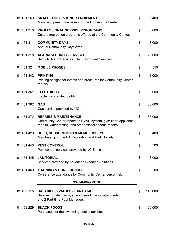| 01.451.260 | <b>SMALL TOOLS &amp; MINOR EQUIPMENT</b><br>Minor equipment purchases for the Community Center.                                                               | \$<br>7,400   |
|------------|---------------------------------------------------------------------------------------------------------------------------------------------------------------|---------------|
| 01.451.310 | <b>PROFESSIONAL SERVICES/PROGRAMS</b><br>Cultural/recreation programs offered at the Community Center.                                                        | \$<br>65,000  |
| 01.451.311 | <b>COMMUNITY DAYS</b><br><b>Annual Community Days event.</b>                                                                                                  | \$<br>13,000  |
| 01.451.318 | <b>ALARM/SECURITY SERVICES</b><br>Security Alarm Services. Security Guard Services.                                                                           | \$<br>25,000  |
| 01.451.324 | <b>MOBILE PHONES</b>                                                                                                                                          | \$<br>550     |
| 01.451.342 | <b>PRINTING</b><br>Printing of signs for events and brochures for Community Center<br>rentals.                                                                | \$<br>1,000   |
| 01.451.361 | <b>ELECTRICITY</b><br>Electricity provided by PPL.                                                                                                            | \$<br>60,000  |
| 01.451.362 | <b>GAS</b><br>Gas service provided by UGI.                                                                                                                    | \$<br>35,000  |
| 01.451.372 | <b>REPAIRS &amp; MAINTENANCE</b><br>Community Center repairs to HVAC system, gym floor, appliance<br>repairs, water testing, and other miscellaneous repairs. | \$<br>55,000  |
| 01.451.420 | <b>DUES, SUBSCRITIONS &amp; MEMBERSHIPS</b><br>Membership in the PA Recreation and Park Society.                                                              | \$<br>400     |
| 01.451.440 | <b>PEST CONTROL</b><br>Pest control services provided by JC Ehrlich.                                                                                          | \$<br>700     |
| 01.451.445 | <b>JANITORIAL</b><br>Services provided by Advanced Cleaning Solutions.                                                                                        | \$<br>48,000  |
| 01.451.460 | <b>TRAINING &amp; CONFERENCES</b><br>Conference attendance by Community Center personnel.                                                                     | \$<br>500     |
|            | <b>SWIMMING POOL</b>                                                                                                                                          |               |
| 01.452.115 | <b>SALARIES &amp; WAGES - PART TIME</b><br>Salaries for lifeguards, snack bar/admission attendants,<br>and 2 Part-time Pool Managers.                         | \$<br>140,000 |
| 01.452.229 | <b>SNACK FOODS</b><br>Purchases for the swimming pool snack bar.                                                                                              | \$<br>20,000  |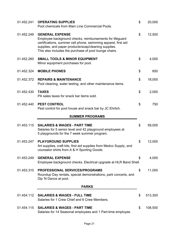| 01.452.241 | <b>OPERATING SUPPLIES</b><br>Pool chemicals from Main Line Commercial Pools.                                                                                                                                                                                           | \$<br>20,000  |
|------------|------------------------------------------------------------------------------------------------------------------------------------------------------------------------------------------------------------------------------------------------------------------------|---------------|
| 01.452.249 | <b>GENERAL EXPENSE</b><br>Employee background checks, reimbursements for lifeguard<br>certifications, summer cell phone, swimming apparel, first aid<br>supplies, and paper products/soap/cleaning supplies.<br>This also includes the purchase of pool lounge chairs. | \$<br>12,500  |
| 01.452.260 | <b>SMALL TOOLS &amp; MINOR EQUIPMENT</b><br>Minor equipment purchases for pool.                                                                                                                                                                                        | \$<br>4,000   |
| 01.452.324 | <b>MOBILE PHONES</b>                                                                                                                                                                                                                                                   | \$<br>650     |
| 01.452.372 | <b>REPAIRS &amp; MAINTENANCE</b><br>Pool cleaning, water testing, and other maintenance items.                                                                                                                                                                         | \$<br>18,000  |
| 01.452.430 | <b>TAXES</b><br>PA sales taxes for snack bar items sold.                                                                                                                                                                                                               | \$<br>2,000   |
| 01.452.440 | <b>PEST CONTROL</b><br>Pest control for pool house and snack bar by JC Ehrlich.                                                                                                                                                                                        | \$<br>750     |
|            | <b>SUMMER PROGRAMS</b>                                                                                                                                                                                                                                                 |               |
| 01.453.115 | <b>SALARIES &amp; WAGES - PART TIME</b><br>Salaries for 5 senior level and 42 playground employees at<br>5 playgrounds for the 7 week summer program.                                                                                                                  | \$<br>59,000  |
| 01.453.247 | <b>PLAYGROUND SUPPLIES</b><br>Art supplies, craft kits, first aid supplies from Medco Supply, and<br>counselor shirts from A & H Sporting Goods.                                                                                                                       | \$<br>12,000  |
| 01.453.249 | <b>GENERAL EXPENSE</b><br>Employee background checks. Electrical upgrade at HLR Band Shell.                                                                                                                                                                            | \$<br>4,000   |
| 01.453.310 | <b>PROFESSIONAL SERVICES/PROGRAMS</b><br>Roundup Day rentals, special demonstrations, park concerts, and<br>Dip 'N Dance at pool.                                                                                                                                      | \$<br>11,000  |
|            | <b>PARKS</b>                                                                                                                                                                                                                                                           |               |
| 01.454.112 | <b>SALARIES &amp; WAGES - FULL TIME</b><br>Salaries for 1 Crew Chief and 6 Crew Members.                                                                                                                                                                               | \$<br>513,300 |
| 01.454.115 | <b>SALARIES &amp; WAGES - PART TIME</b><br>Salaries for 14 Seasonal employees and 1 Part-time employee.                                                                                                                                                                | \$<br>108,500 |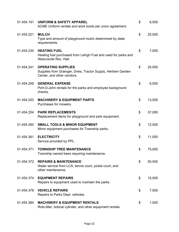| 01.454.191 | <b>UNIFORM &amp; SAFETY APPAREL</b><br>ACME Uniform rentals and work boots per union agreement.                          | \$<br>6,500  |
|------------|--------------------------------------------------------------------------------------------------------------------------|--------------|
| 01.454.221 | <b>MULCH</b><br>Type and amount of playground mulch determined by state<br>requirements.                                 | \$<br>25,000 |
| 01.454.230 | <b>HEATING FUEL</b><br>Heating fuel purchased from Lehigh Fuel and used for parks and<br>Wescosvile Rec. Hall.           | \$<br>7,000  |
| 01.454.241 | <b>OPERATING SUPPLIES</b><br>Supplies from Grainger, Dries, Tractor Supply, Herbein Garden<br>Center, and other vendors. | \$<br>25,000 |
| 01.454.249 | <b>GENERAL EXPENSE</b><br>Port-O-John rentals for the parks and employee background<br>checks.                           | \$<br>6,000  |
| 01.454.253 | <b>MACHINERY &amp; EQUIPMENT PARTS</b><br>Purchases for mowers.                                                          | \$<br>13,000 |
| 01.454.254 | <b>PARK REPLACEMENTS</b><br>Replacement items for playground and park equipment.                                         | \$<br>37,000 |
| 01.454.260 | <b>SMALL TOOLS &amp; MINOR EQUIPMENT</b><br>Minor equipment purchases for Township parks.                                | \$<br>12,000 |
| 01.454.361 | <b>ELECTRICITY</b><br>Service provided by PPL.                                                                           | \$<br>11,000 |
| 01.454.371 | <b>TOWNSHIP TREE MAINTENANCE</b><br>Township owned trees requiring maintenance.                                          | \$<br>75,000 |
| 01.454.372 | <b>REPAIRS &amp; MAINTENANCE</b><br>Water service from LCA, tennis court, pickel court, and<br>other maintenance.        | \$<br>50,000 |
| 01.454.374 | <b>EQUIPMENT REPAIRS</b><br>Repairs to equipment used to maintain the parks.                                             | \$<br>15,000 |
| 01.454.378 | <b>VEHICLE REPAIRS</b><br>Repairs to Parks Dept. vehicles.                                                               | \$<br>7,500  |
| 01.454.384 | <b>MACHINERY &amp; EQUIPMENT RENTALS</b><br>Roto-tiller, bobcat cylinder, and other equipment rentals.                   | \$<br>1,000  |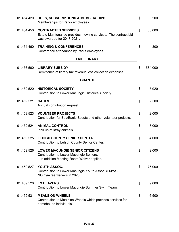| 01.454.420 | <b>DUES, SUBSCRIPTIONS &amp; MEMBERSHIPS</b><br>Memberships for Parks employees.                                             | \$<br>200     |
|------------|------------------------------------------------------------------------------------------------------------------------------|---------------|
| 01.454.450 | <b>CONTRACTED SERVICES</b><br>Estate Maintenance provides mowing services. The contract bid<br>was awarded for 2017-2021.    | \$<br>65,000  |
| 01.454.460 | <b>TRAINING &amp; CONFERENCES</b><br>Conference attendance by Parks employees.                                               | \$<br>300     |
|            | <b>LMT LIBRARY</b>                                                                                                           |               |
| 01.456.500 | <b>LIBRARY SUBSIDY</b><br>Remittance of library tax revenue less collection expenses.                                        | \$<br>584,000 |
|            | <b>GRANTS</b>                                                                                                                |               |
| 01.459.520 | <b>HISTORICAL SOCIETY</b><br>Contribution to Lower Macungie Historical Society.                                              | \$<br>5,920   |
| 01.459.521 | <b>CACLV</b><br>Annual contribution request.                                                                                 | \$<br>2,500   |
| 01.459.523 | <b>VOUNTEER PROJECTS</b><br>Contribution for Boy/Eagle Scouts and other volunteer projects.                                  | \$<br>2,000   |
| 01.459.524 | <b>ANIMAL CONTROL</b><br>Pick up of stray animals.                                                                           | \$<br>7,000   |
| 01.459.525 | <b>LEHIGH COUNTY SENIOR CENTER</b><br>Contribution to Lehigh County Senior Center.                                           | \$<br>4,000   |
| 01.459.526 | <b>LOWER MACUNGIE SENIOR CITIZENS</b><br>Contribution to Lower Macungie Seniors.<br>In addition Meeting Room Waiver applies. | \$<br>9,000   |
| 01.459.527 | YOUTH ASSOC.<br>Contribution to Lower Macungie Youth Assoc. (LMYA).<br>NO gym fee waivers in 2020.                           | \$<br>75,000  |
| 01.459.528 | <b>LMT LAZERS</b><br>Contribution to Lower Macungie Summer Swim Team.                                                        | \$<br>9,000   |
| 01.459.531 | <b>MEALS ON WHEELS</b><br>Contribution to Meals on Wheels which provides services for<br>homebound individuals.              | \$<br>6,500   |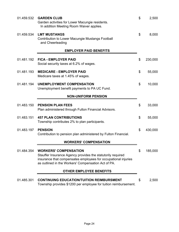| 01.459.532 | <b>GARDEN CLUB</b><br>Garden activities for Lower Macungie residents.<br>In addition Meeting Room Waiver applies.                                                                                                    | \$<br>2,500   |
|------------|----------------------------------------------------------------------------------------------------------------------------------------------------------------------------------------------------------------------|---------------|
| 01.459.534 | <b>LMT MUSTANGS</b><br><b>Contribution to Lower Macungie Mustangs Football</b><br>and Cheerleading                                                                                                                   | \$<br>8,000   |
|            | <b>EMPLOYER PAID BENEFITS</b>                                                                                                                                                                                        |               |
| 01.481.192 | <b>FICA - EMPLOYER PAID</b><br>Social security taxes at 6.2% of wages.                                                                                                                                               | \$<br>230,000 |
| 01.481.193 | <b>MEDICARE - EMPLOYER PAID</b><br>Medicare taxes at 1.45% of wages.                                                                                                                                                 | \$<br>55,000  |
| 01.481.194 | <b>UNEMPLOYMENT COMPENSATION</b><br>Unemployment benefit payments to PA UC Fund.                                                                                                                                     | \$<br>10,000  |
|            | <b>NON-UNIFORM PENSION</b>                                                                                                                                                                                           |               |
| 01.483.150 | <b>PENSION PLAN FEES</b><br>Plan administered through Fulton Financial Advisors.                                                                                                                                     | \$<br>33,000  |
| 01.483.151 | <b>457 PLAN CONTRIBUTIONS</b><br>Township contributes 2% to plan participants.                                                                                                                                       | \$<br>55,000  |
| 01.483.197 | <b>PENSION</b><br>Contribution to pension plan administered by Fulton Financial.                                                                                                                                     | \$<br>430,000 |
|            | <b>WORKERS' COMPENSATION</b>                                                                                                                                                                                         |               |
| 01.484.354 | <b>WORKERS' COMPENSATION</b><br>Stauffer Insurance Agency provides the statutorily required<br>insurance that compensates employees for occupational injuries<br>as outlined in the Workers' Compensation Act of PA. | \$<br>185,000 |
|            | <b>OTHER EMPLOYEE BENEFITS</b>                                                                                                                                                                                       |               |
| 01.485.301 | <b>CONTINUING EDUCATION/TUITION REIMBURSMENT</b><br>Township provides \$1200 per employee for tuition reimbursement.                                                                                                 | \$<br>2,500   |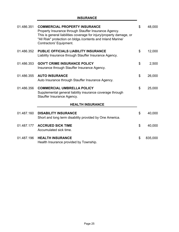## **INSURANCE**

Ĩ.

| 01.486.351 | <b>COMMERCIAL PROPERTY INSURANCE</b><br>Property Insurance through Stauffer Insurance Agency.<br>This is general liabilities coverage for injury/property damage, or<br>"All Risk" protection on bldgs./contents and Inland Marine/<br>Contractors' Equipment. | \$<br>48,000  |
|------------|----------------------------------------------------------------------------------------------------------------------------------------------------------------------------------------------------------------------------------------------------------------|---------------|
| 01.486.352 | <b>PUBLIC OFFICIALS LIABILITY INSURANCE</b><br>Liability Insurance through Stauffer Insurance Agency.                                                                                                                                                          | \$<br>12,000  |
| 01.486.353 | <b>GOV'T CRIME INSURANCE POLICY</b><br>Insurance through Stauffer Insurance Agency.                                                                                                                                                                            | \$<br>2,500   |
| 01.486.355 | <b>AUTO INSURANCE</b><br>Auto Insurance through Stauffer Insurance Agency.                                                                                                                                                                                     | \$<br>26,000  |
| 01.486.356 | <b>COMMERCIAL UMBRELLA POLICY</b><br>Supplemental general liability insurance coverage through<br>Stauffer Insurance Agency.                                                                                                                                   | \$<br>25,000  |
|            | <b>HEALTH INSURANCE</b>                                                                                                                                                                                                                                        |               |
| 01.487.160 | <b>DISABILITY INSURANCE</b><br>Short and long term disability provided by One America.                                                                                                                                                                         | \$<br>40,000  |
| 01.487.177 | <b>ACCRUED SICK TIME</b><br>Accumulated sick time.                                                                                                                                                                                                             | \$<br>40,000  |
| 01.487.196 | <b>HEALTH INSURANCE</b><br>Health Insurance provided by Township.                                                                                                                                                                                              | \$<br>835,000 |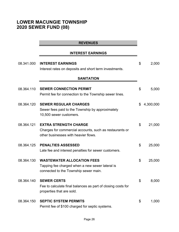# **LOWER MACUNGIE TOWNSHIP 2020 SEWER FUND (08)**

#### **REVENUES**

### **INTEREST EARNINGS**

| 08.341.000 | <b>INTEREST EARNINGS</b>                                                                                                        | \$<br>2,000     |
|------------|---------------------------------------------------------------------------------------------------------------------------------|-----------------|
|            | Interest rates on deposits and short term investments.                                                                          |                 |
|            | <b>SANITATION</b>                                                                                                               |                 |
| 08.364.110 | <b>SEWER CONNECTION PERMIT</b><br>Permit fee for connection to the Township sewer lines.                                        | \$<br>5,000     |
| 08.364.120 | <b>SEWER REGULAR CHARGES</b><br>Sewer fees paid to the Township by approximately<br>10,500 sewer customers.                     | \$<br>4,300,000 |
| 08.364.121 | <b>EXTRA STRENGTH CHARGE</b><br>Charges for commercial accounts, such as restaurants or<br>other businesses with heavier flows. | \$<br>21,000    |
| 08.364.125 | <b>PENALTIES ASSESSED</b><br>Late fee and interest penalties for sewer customers.                                               | \$<br>25,000    |
| 08.364.130 | <b>WASTEWATER ALLOCATION FEES</b><br>Tapping fee charged when a new sewer lateral is<br>connected to the Township sewer main.   | \$<br>25,000    |
| 08.364.140 | <b>SEWER CERTS</b><br>Fee to calculate final balances as part of closing costs for<br>properties that are sold.                 | \$<br>8,000     |
| 08.364.150 | <b>SEPTIC SYSTEM PERMITS</b><br>Permit fee of \$100 charged for septic systems.                                                 | \$<br>1,000     |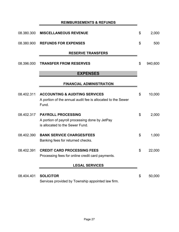## **REIMBURSEMENTS & REFUNDS**

| 08.380.300 | <b>MISCELLANEOUS REVENUE</b>                                                                                      | \$<br>2,000   |
|------------|-------------------------------------------------------------------------------------------------------------------|---------------|
| 08.380.900 | <b>REFUNDS FOR EXPENSES</b>                                                                                       | \$<br>500     |
|            | <b>RESERVE TRANSFERS</b>                                                                                          |               |
| 08.396.000 | <b>TRANSFER FROM RESERVES</b>                                                                                     | \$<br>940,600 |
|            | <b>EXPENSES</b>                                                                                                   |               |
|            | <b>FINANCIAL ADMINISTRATION</b>                                                                                   |               |
| 08.402.311 | <b>ACCOUNTING &amp; AUDITING SERVICES</b><br>A portion of the annual audit fee is allocated to the Sewer<br>Fund. | \$<br>10,000  |
| 08.402.317 | <b>PAYROLL PROCESSING</b><br>A portion of payroll processing done by JetPay<br>is allocated to the Sewer Fund.    | \$<br>2,000   |
| 08.402.390 | <b>BANK SERVICE CHARGES/FEES</b><br>Banking fees for returned checks.                                             | \$<br>1,000   |
| 08.402.391 | <b>CREDIT CARD PROCESSING FEES</b><br>Processing fees for online credit card payments.                            | \$<br>22,000  |
|            | <b>LEGAL SERVICES</b>                                                                                             |               |
| 08.404.401 | <b>SOLICITOR</b><br>Services provided by Township appointed law firm.                                             | \$<br>50,000  |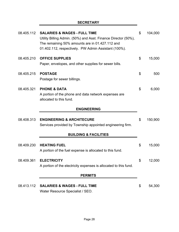## **SECRETARY**

|            | <b>SALARIES &amp; WAGES - FULL TIME</b><br>Utility Billing Admin. (50%) and Asst. Finance Director (50%),<br>The remaining 50% amounts are in 01.427.112 and<br>01.402.112, respectively. PW Admin Assistant (100%). | \$<br>104,000 |
|------------|----------------------------------------------------------------------------------------------------------------------------------------------------------------------------------------------------------------------|---------------|
| 08.405.210 | <b>OFFICE SUPPLIES</b><br>Paper, envelopes, and other supplies for sewer bills.                                                                                                                                      | \$<br>15,000  |
| 08.405.215 | <b>POSTAGE</b><br>Postage for sewer billings.                                                                                                                                                                        | \$<br>500     |
| 08.405.321 | <b>PHONE &amp; DATA</b><br>A portion of the phone and data network expenses are<br>allocated to this fund.                                                                                                           | \$<br>6,000   |
|            | <b>ENGINEERING</b>                                                                                                                                                                                                   |               |
| 08.408.313 | <b>ENGINEERING &amp; ARCHITECURE</b><br>Services provided by Township appointed engineering firm.                                                                                                                    | \$<br>150,900 |
|            |                                                                                                                                                                                                                      |               |
|            | <b>BUILDING &amp; FACILITIES</b>                                                                                                                                                                                     |               |
| 08.409.230 | <b>HEATING FUEL</b><br>A portion of the fuel expense is allocated to this fund.                                                                                                                                      | \$<br>15,000  |
| 08.409.361 | <b>ELECTRICITY</b><br>A portion of the electricity expenses is allocated to this fund.                                                                                                                               | \$<br>12,000  |
|            | <b>PERMITS</b>                                                                                                                                                                                                       |               |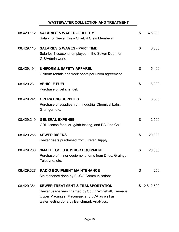## **WASTEWATER COLLECTION AND TREATMENT**

| 08.429.112 | <b>SALARIES &amp; WAGES - FULL TIME</b><br>Salary for Sewer Crew Chief, 4 Crew Members.                                                                                                           | \$<br>375,800   |
|------------|---------------------------------------------------------------------------------------------------------------------------------------------------------------------------------------------------|-----------------|
| 08.429.115 | <b>SALARIES &amp; WAGES - PART TIME</b><br>Salaries 1 seasonal employee in the Sewer Dept. for<br>GIS/Admin work.                                                                                 | \$<br>6,300     |
| 08.429.191 | <b>UNIFORM &amp; SAFETY APPAREL</b><br>Uniform rentals and work boots per union agreement.                                                                                                        | \$<br>5,400     |
| 08.429.231 | <b>VEHICLE FUEL</b><br>Purchase of vehicle fuel.                                                                                                                                                  | \$<br>18,000    |
| 08.429.241 | <b>OPERATING SUPPLIES</b><br>Purchase of supplies from Industrial Chemical Labs,<br>Grainger, etc.                                                                                                | \$<br>3,500     |
| 08.429.249 | <b>GENERAL EXPENSE</b><br>CDL license fees, drug/lab testing, and PA One Call.                                                                                                                    | \$<br>2,500     |
| 08.429.256 | <b>SEWER RISERS</b><br>Sewer risers purchased from Exeter Supply.                                                                                                                                 | \$<br>20,000    |
| 08.429.260 | <b>SMALL TOOLS &amp; MINOR EQUIPMENT</b><br>Purchase of minor equipment items from Dries, Grainger,<br>Teledyne, etc.                                                                             | \$<br>20,000    |
| 08.429.327 | <b>RADIO EQUIPMENT MAINTENANCE</b><br>Maintenance done by ECCO Communications.                                                                                                                    | \$<br>250       |
| 08.429.364 | <b>SEWER TREATMENT &amp; TRANSPORTATION</b><br>Sewer usage fees charged by South Whitehall, Emmaus,<br>Upper Macungie, Macungie, and LCA as well as<br>water testing done by Benchmark Analytics. | \$<br>2,812,500 |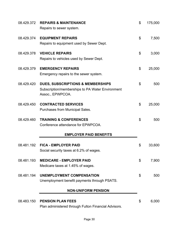| 08.429.372 | <b>REPAIRS &amp; MAINTENANCE</b><br>Repairs to sewer system.                                                         | \$<br>175,000 |
|------------|----------------------------------------------------------------------------------------------------------------------|---------------|
| 08.429.374 | <b>EQUIPMENT REPAIRS</b><br>Repairs to equipment used by Sewer Dept.                                                 | \$<br>7,500   |
| 08.429.378 | <b>VEHICLE REPAIRS</b><br>Repairs to vehicles used by Sewer Dept.                                                    | \$<br>3,000   |
| 08.429.379 | <b>EMERGENCY REPAIRS</b><br>Emergency repairs to the sewer system.                                                   | \$<br>25,000  |
| 08.429.420 | <b>DUES, SUBSCRIPTIONS &amp; MEMBERSHIPS</b><br>Subscription/memberships to PA Water Environment<br>Assoc., EPWPCOA. | \$<br>500     |
| 08.429.450 | <b>CONTRACTED SERVICES</b><br>Purchases from Municipal Sales.                                                        | \$<br>25,000  |
| 08.429.460 | <b>TRAINING &amp; CONFERENCES</b><br>Conference attendance for EPWPCOA.                                              | \$<br>500     |
|            | <b>EMPLOYER PAID BENEFITS</b>                                                                                        |               |
| 08.481.192 | <b>FICA - EMPLOYER PAID</b><br>Social security taxes at 6.2% of wages.                                               | \$<br>33,600  |
| 08.481.193 | <b>MEDICARE - EMPLOYER PAID</b><br>Medicare taxes at 1.45% of wages.                                                 | \$<br>7,900   |
| 08.481.194 | <b>UNEMPLOYMENT COMPENSATION</b><br>Unemployment benefit payments through PSATS.                                     | \$<br>500     |
|            | <b>NON-UNIFORM PENSION</b>                                                                                           |               |
| 08.483.150 | <b>PENSION PLAN FEES</b><br>Plan administered through Fulton Financial Advisors.                                     | \$<br>6,000   |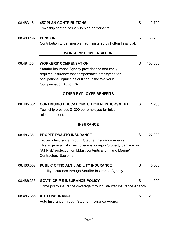| 08.483.151 | <b>457 PLAN CONTRIBUTIONS</b>                                                                         | \$<br>10,700  |
|------------|-------------------------------------------------------------------------------------------------------|---------------|
|            | Township contributes 2% to plan participants.                                                         |               |
| 08.483.197 | <b>PENSION</b>                                                                                        | \$<br>86,250  |
|            | Contribution to pension plan administered by Fulton Financial.                                        |               |
|            | <b>WORKERS' COMPENSATION</b>                                                                          |               |
| 08.484.354 | <b>WORKERS' COMPENSATION</b>                                                                          | \$<br>100,000 |
|            | Stauffer Insurance Agency provides the statutorily                                                    |               |
|            | required insurance that compensates employees for                                                     |               |
|            | occupational injuries as outlined in the Workers'                                                     |               |
|            | Compensation Act of PA.                                                                               |               |
|            | <b>OTHER EMPLOYEE BENEFITS</b>                                                                        |               |
|            |                                                                                                       |               |
| 08.485.301 | <b>CONTINUING EDUCATION/TUITION REIMBURSMENT</b><br>Township provides \$1200 per employee for tuition | \$<br>1,200   |
|            | reimbursement.                                                                                        |               |
|            | <b>INSURANCE</b>                                                                                      |               |
| 08.486.351 | <b>PROPERTY/AUTO INSURANCE</b>                                                                        | \$<br>27,000  |
|            | Property Insurance through Stauffer Insurance Agency.                                                 |               |
|            | This is general liabilities coverage for injury/property damage, or                                   |               |
|            | "All Risk" protection on bldgs./contents and Inland Marine/<br>Contractors' Equipment.                |               |
|            |                                                                                                       |               |
| 08.486.352 | PUBLIC OFFICIALS LIABILITY INSURANCE                                                                  | \$<br>6,500   |
|            | Liability Insurance through Stauffer Insurance Agency.                                                |               |
| 08.486.353 | <b>GOV'T. CRIME INSURANCE POLICY</b>                                                                  | \$<br>500     |
|            | Crime policy insurance coverage through Stauffer Insurance Agency.                                    |               |
| 08.486.355 | <b>AUTO INSURANCE</b>                                                                                 | \$<br>20,000  |
|            | Auto Insurance through Stauffer Insurance Agency.                                                     |               |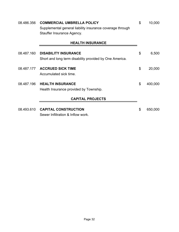| 08.486.356              | <b>COMMERCIAL UMBRELLA POLICY</b>                         | \$ | 10,000  |  |
|-------------------------|-----------------------------------------------------------|----|---------|--|
|                         | Supplemental general liability insurance coverage through |    |         |  |
|                         | Stauffer Insurance Agency.                                |    |         |  |
|                         | <b>HEALTH INSURANCE</b>                                   |    |         |  |
|                         |                                                           |    |         |  |
| 08.487.160              | <b>DISABILITY INSURANCE</b>                               | \$ | 6,500   |  |
|                         | Short and long term disability provided by One America.   |    |         |  |
| 08.487.177              | <b>ACCRUED SICK TIME</b>                                  | \$ | 20,000  |  |
|                         | Accumulated sick time.                                    |    |         |  |
| 08.487.196              | <b>HEALTH INSURANCE</b>                                   | \$ | 400,000 |  |
|                         | Health Insurance provided by Township.                    |    |         |  |
| <b>CAPITAL PROJECTS</b> |                                                           |    |         |  |
|                         |                                                           |    |         |  |
| 08.493.610              | <b>CAPITAL CONSTRUCTION</b>                               | \$ | 650,000 |  |
|                         | Sewer Infiltration & Inflow work.                         |    |         |  |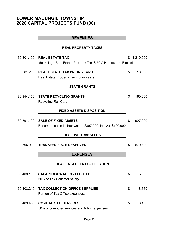# **LOWER MACUNGIE TOWNSHIP 2020 CAPITAL PROJECTS FUND (30)**

|            | <b>REVENUES</b>                                                                              |               |
|------------|----------------------------------------------------------------------------------------------|---------------|
|            | <b>REAL PROPERTY TAXES</b>                                                                   |               |
| 30.301.100 | <b>REAL ESTATE TAX</b><br>.50 millage Real Estate Property Tax & 50% Homestead Exclusion.    | \$1,210,000   |
| 30.301.200 | <b>REAL ESTATE TAX PRIOR YEARS</b><br>Real Estate Property Tax - prior years.                | \$<br>10,000  |
|            | <b>STATE GRANTS</b>                                                                          |               |
|            | 30.354.150 STATE RECYCLING GRANTS<br><b>Recycling Roll Cart</b>                              | \$<br>160,000 |
|            | <b>FIXED ASSETS DISPOSITION</b>                                                              |               |
|            | 30.391.100 SALE OF FIXED ASSETS<br>Easement sales Lichtenwalner \$807,200, Kratzer \$120,000 | \$<br>927,200 |
|            | <b>RESERVE TRANSFERS</b>                                                                     |               |
| 30.396.000 | <b>TRANSFER FROM RESERVES</b>                                                                | \$<br>670,800 |
|            | <b>EXPENSES</b>                                                                              |               |
|            | REAL ESTATE TAX COLLECTION                                                                   |               |
|            | 50% of Tax Collector salary.                                                                 | \$<br>5,000   |
|            | 30.403.210 TAX COLLECTION OFFICE SUPPLIES<br>Portion of Tax Office expenses.                 | \$<br>8,550   |
|            | 30.403.450 CONTRACTED SERVICES<br>50% of computer services and billing expenses.             | \$<br>8,450   |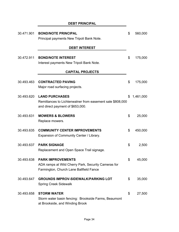|            | <b>DEBT PRINCIPAL</b>                                                                                                      |                 |
|------------|----------------------------------------------------------------------------------------------------------------------------|-----------------|
| 30.471.901 | <b>BOND/NOTE PRINCIPAL</b><br>Principal payments New Tripoli Bank Note.                                                    | \$<br>560,000   |
|            | <b>DEBT INTEREST</b>                                                                                                       |                 |
| 30.472.911 | <b>BOND/NOTE INTEREST</b><br>Interest payments New Tripoli Bank Note.                                                      | \$<br>175,000   |
|            | <b>CAPITAL PROJECTS</b>                                                                                                    |                 |
| 30.493.463 | <b>CONTRACTED PAVING</b><br>Major road surfacing projects.                                                                 | \$<br>175,000   |
| 30.493.620 | <b>LAND PURCHASES</b><br>Remittances to Lichtenwalner from easement sale \$808,000<br>and direct payment of \$653,000.     | \$<br>1,461,000 |
| 30.493.631 | <b>MOWERS &amp; BLOWERS</b><br>Replace mowers.                                                                             | \$<br>25,000    |
| 30.493.635 | <b>COMMUNITY CENTER IMPROVEMENTS</b><br>Expansion of Community Center / Library.                                           | \$<br>450,000   |
| 30.493.637 | <b>PARK SIGNAGE</b><br>Replacement and Open Space Trail signage.                                                           | \$<br>2,500     |
| 30.493.638 | <b>PARK IMPROVEMENTS</b><br>ADA ramps at Wild Cherry Park, Security Cameras for<br>Farmington, Church Lane Ballfield Fance | \$<br>45,000    |
| 30.493.647 | <b>GROUNDS IMPROV-SIDEWALK/PARKING LOT</b><br><b>Spring Creek Sidewalk</b>                                                 | \$<br>35,000    |
| 30.493.658 | <b>STORM WATER</b><br>Storm water basin fencing: Brookside Farms, Beaumont<br>at Brookside, and Winding Brook              | \$<br>27,500    |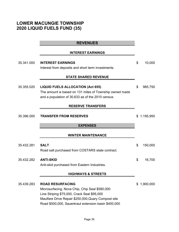# **LOWER MACUNGIE TOWNSHIP 2020 LIQUID FUELS FUND (35)**

|            | <b>REVENUES</b>                                                                                                                                                                                                                         |                 |
|------------|-----------------------------------------------------------------------------------------------------------------------------------------------------------------------------------------------------------------------------------------|-----------------|
|            | <b>INTEREST EARNINGS</b>                                                                                                                                                                                                                |                 |
| 35.341.000 | <b>INTEREST EARNINGS</b><br>Interest from deposits and short term investments.                                                                                                                                                          | \$<br>10,000    |
|            | <b>STATE SHARED REVENUE</b>                                                                                                                                                                                                             |                 |
| 35.355.020 | <b>LIQUID FUELS ALLOCATION (Act 655)</b><br>The amount is based on 131 miles of Township owned roads<br>and a population of 30,633 as of the 2010 census.                                                                               | \$<br>985,750   |
|            | <b>RESERVE TRANSFERS</b>                                                                                                                                                                                                                |                 |
| 35.396.000 | <b>TRANSFER FROM RESERVES</b>                                                                                                                                                                                                           | \$1,195,950     |
|            | <b>EXPENSES</b>                                                                                                                                                                                                                         |                 |
|            | <b>WINTER MAINTENANCE</b>                                                                                                                                                                                                               |                 |
| 35.432.281 | <b>SALT</b><br>Road salt purchased from COSTARS state contract.                                                                                                                                                                         | \$<br>150,000   |
| 35.432.282 | <b>ANTI-SKID</b><br>Anti-skid purchased from Eastern Industries.                                                                                                                                                                        | \$<br>16,700    |
|            | <b>HIGHWAYS &amp; STREETS</b>                                                                                                                                                                                                           |                 |
| 35.439.283 | <b>ROAD RESURFACING</b><br>Microsurfacing, Nova Chip, Chip Seal \$580,000<br>Line Striping \$75,000, Crack Seal \$95,000<br>Maulfare Drive Repair \$250,000, Quary Compost site<br>Road \$500,000, Sauerkraut extension basin \$400,000 | \$<br>1,900,000 |